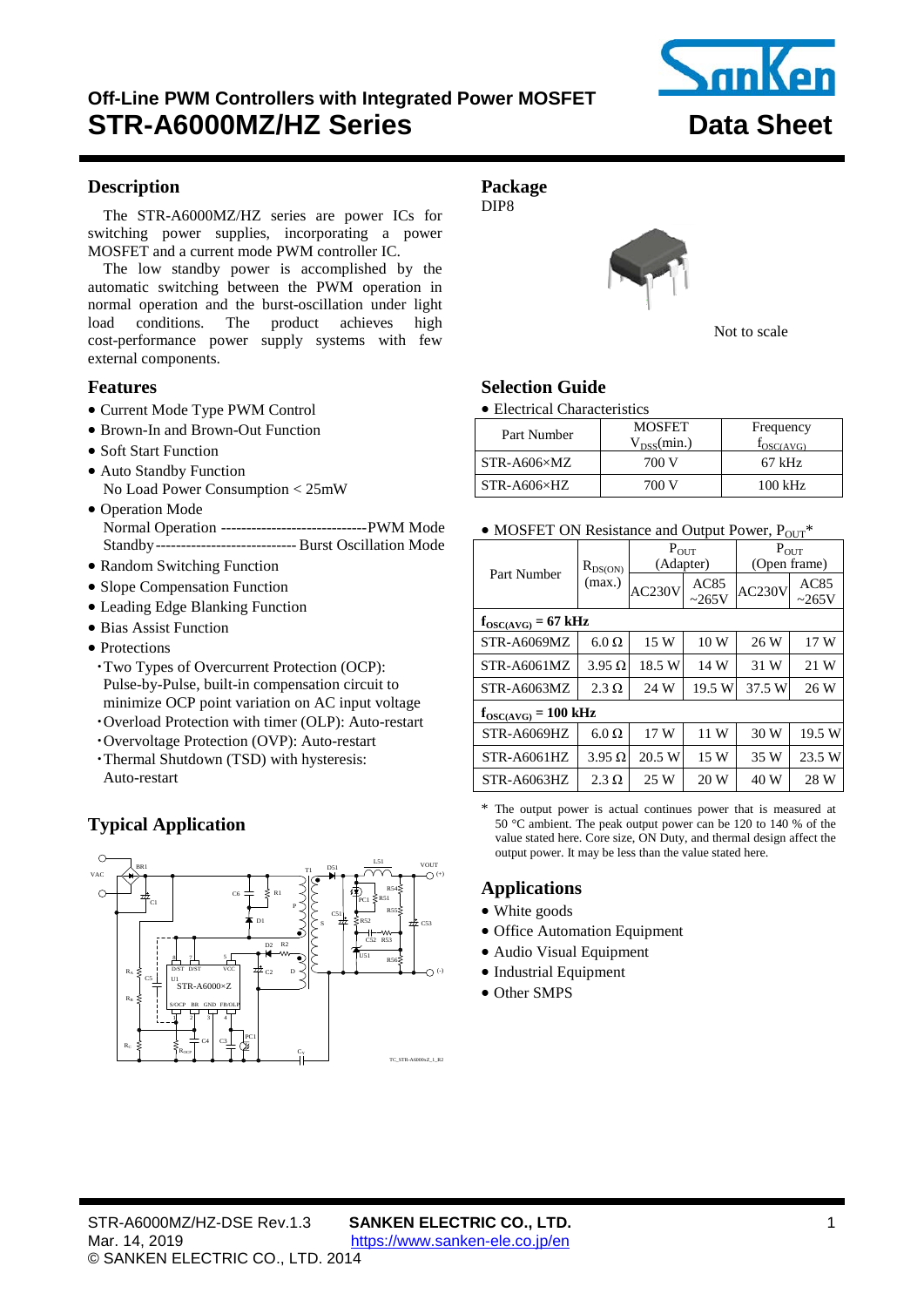# <span id="page-0-0"></span>**Off-Line PWM Controllers with Integrated Power MOSFET STR-A6000MZ/HZ Series Data Sheet**



## <span id="page-0-1"></span>**Description**

The [STR-A6000MZ/HZ](#page-0-0) series are power ICs for switching power supplies, incorporating a power MOSFET and a current mode PWM controller IC.

The low standby power is accomplished by the automatic switching between the PWM operation in normal operation and the burst-oscillation under light load conditions. The product achieves high cost-performance power supply systems with few external components.

#### **Features**

- Current Mode Type PWM Control
- Brown-In and Brown-Out Function
- Soft Start Function
- Auto Standby Function No Load Power Consumption < 25mW
- Operation Mode Normal Operation ----------------------------- PWM Mode Standby---------------------------- Burst Oscillation Mode
- Random Switching Function
- Slope Compensation Function
- Leading Edge Blanking Function
- Bias Assist Function
- Protections
	- ・Two Types of Overcurrent Protection (OCP): Pulse-by-Pulse, built-in compensation circuit to minimize OCP point variation on AC input voltage
- ・Overload Protection with timer (OLP): Auto-restart
- ・Overvoltage Protection (OVP): Auto-restart
- ・Thermal Shutdown (TSD) with hysteresis: Auto-restart

## **Typical Application**



**Package**  DIP8



Not to scale

## **Selection Guide**

#### • Electrical Characteristics

| Part Number           | <b>MOSFET</b>   | Frequency         |  |  |
|-----------------------|-----------------|-------------------|--|--|
|                       | $V_{DSS}(min.)$ | $I_{OSC(AVG)}$    |  |  |
| STR-A606×MZ           | 700 V           | $67$ kHz          |  |  |
| $STR- A606 \times HZ$ | 700 V           | $100 \text{ kHz}$ |  |  |

#### • MOSFET ON Resistance and Output Power,  $P_{\text{OUT}}$ <sup>\*</sup>

|                                  |               | $P_{OUT}$ |             | $P_{OUT}$    |             |  |  |
|----------------------------------|---------------|-----------|-------------|--------------|-------------|--|--|
| Part Number                      | $R_{DS(ON)}$  | (Adapter) |             | (Open frame) |             |  |  |
|                                  | (max.)        | AC230V    | AC85        | AC230V       | AC85        |  |  |
|                                  |               |           | $\sim$ 265V |              | $\sim$ 265V |  |  |
| $f_{OSC(AVG)} = 67 \text{ kHz}$  |               |           |             |              |             |  |  |
| STR-A6069MZ                      | $6.0 \Omega$  | 15 W      | 10W         | 26 W         | 17W         |  |  |
| STR-A6061MZ                      | $3.95 \Omega$ | 18.5 W    | 14 W        | 31 W         | 21 W        |  |  |
| STR-A6063MZ                      | $2.3 \Omega$  | 24 W      | 19.5 W      | 37.5 W       | 26 W        |  |  |
| $f_{OSC(AVG)} = 100 \text{ kHz}$ |               |           |             |              |             |  |  |
| STR-A6069HZ                      | $6.0 \Omega$  | 17 W      | 11 W        | 30 W         | 19.5 W      |  |  |
| STR-A6061HZ                      | $3.95 \Omega$ | 20.5 W    | 15 W        | 35 W         | 23.5 W      |  |  |
| STR-A6063HZ                      | $2.3 \Omega$  | 25 W      | 20 W        | 40 W         | 28 W        |  |  |

\* The output power is actual continues power that is measured at 50 °C ambient. The peak output power can be 120 to 140 % of the value stated here. Core size, ON Duty, and thermal design affect the output power. It may be less than the value stated here.

## **Applications**

- White goods
- Office Automation Equipment
- Audio Visual Equipment
- Industrial Equipment
- Other SMPS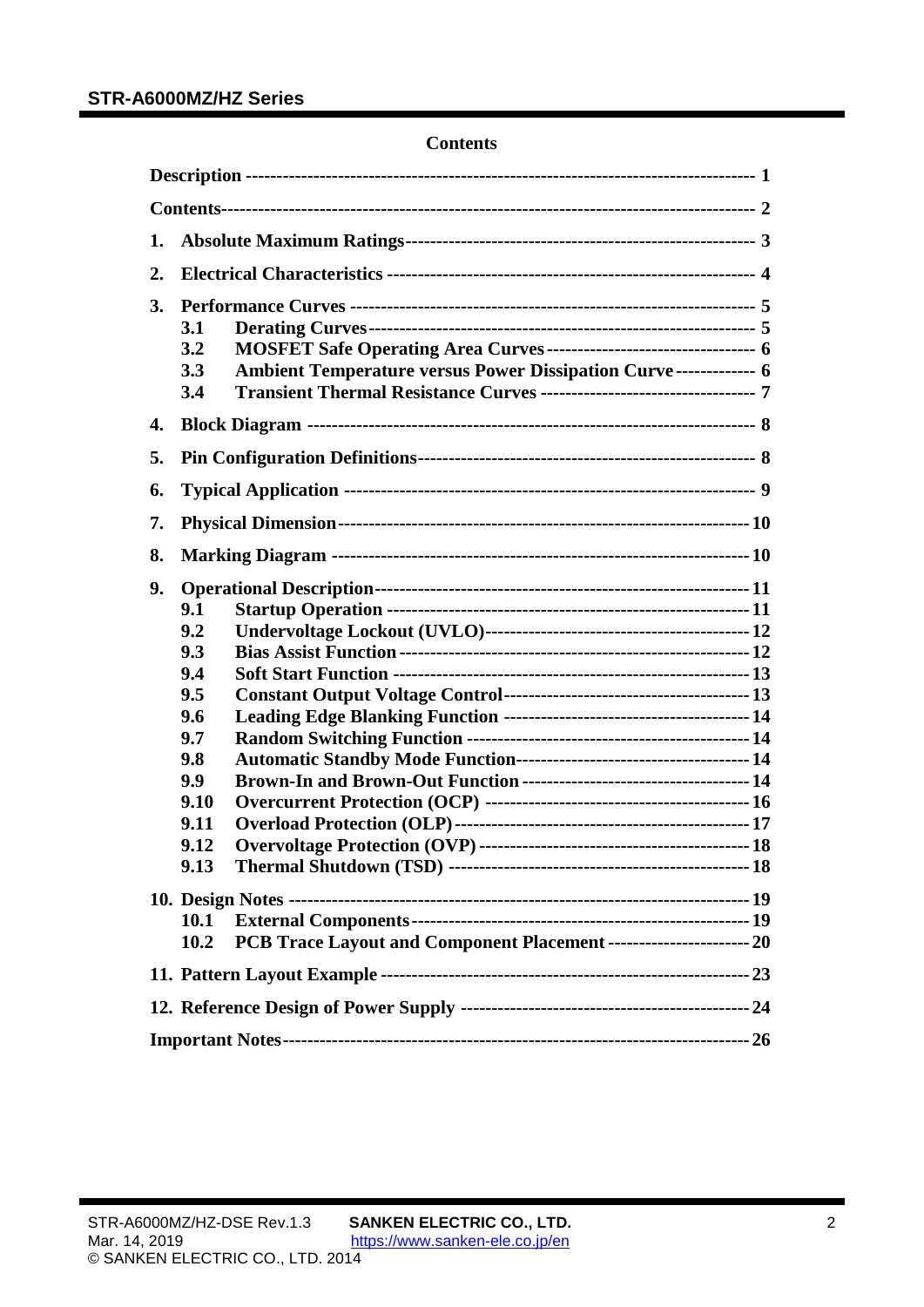## **Contents**

<span id="page-1-0"></span>

| 1. |                                                                                               |  |
|----|-----------------------------------------------------------------------------------------------|--|
| 2. |                                                                                               |  |
| 3. | 3.1<br>3.2<br>Ambient Temperature versus Power Dissipation Curve------------- 6<br>3.3<br>3.4 |  |
| 4. |                                                                                               |  |
| 5. |                                                                                               |  |
| 6. |                                                                                               |  |
| 7. |                                                                                               |  |
| 8. |                                                                                               |  |
| 9. | 9.1<br>9.2<br>9.3<br>9.4<br>9.5<br>9.6<br>9.7<br>9.8<br>9.9<br>9.10<br>9.11<br>9.12<br>9.13   |  |
|    |                                                                                               |  |
|    | 10.1                                                                                          |  |
|    | PCB Trace Layout and Component Placement -------------------------- 20<br>10.2                |  |
|    |                                                                                               |  |
|    |                                                                                               |  |
|    |                                                                                               |  |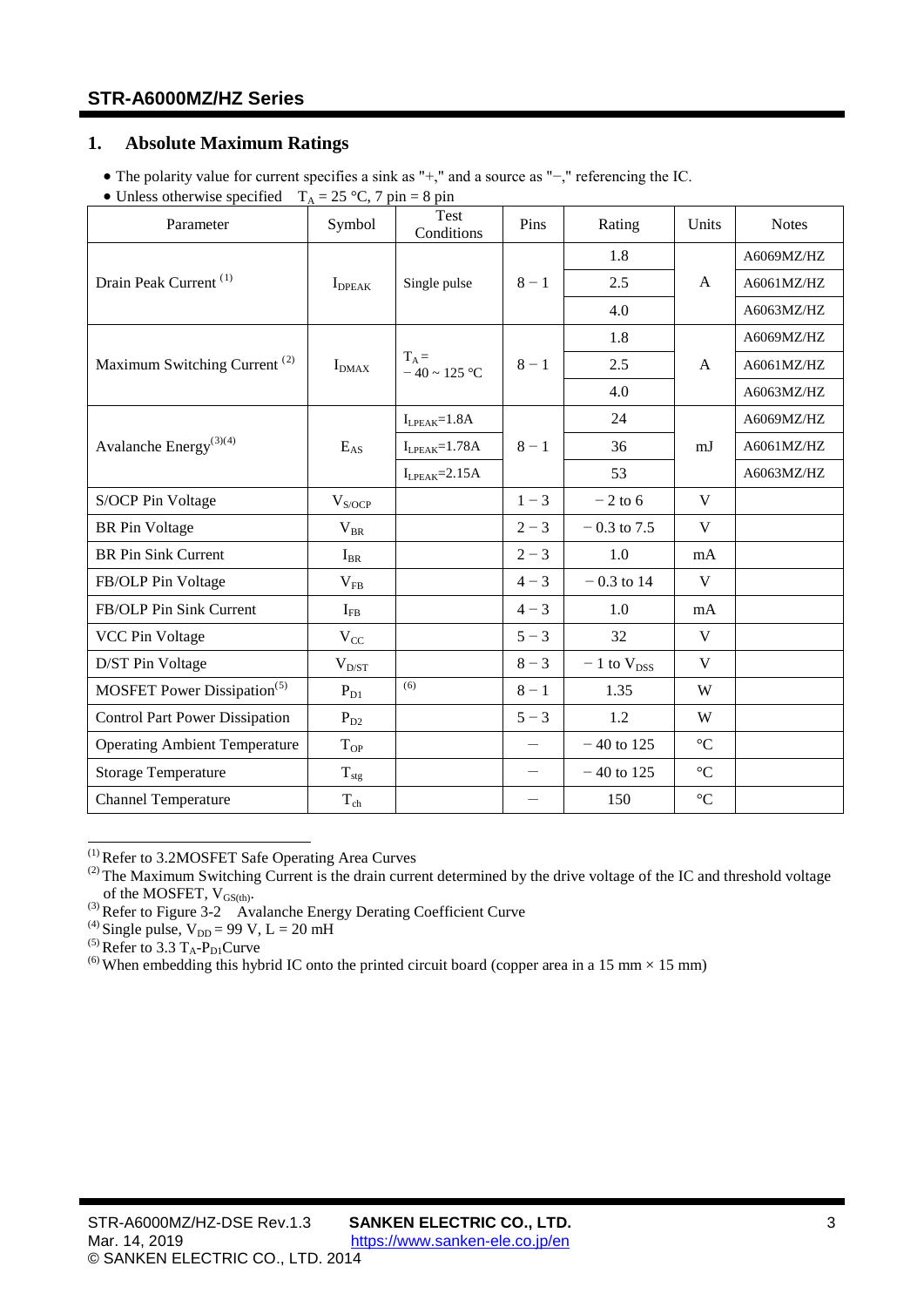## <span id="page-2-0"></span>**1. Absolute Maximum Ratings**

- The polarity value for current specifies a sink as "+," and a source as "−," referencing the IC.
- Unless otherwise specified  $T_A = 25 \degree C$ , 7 pin = 8 pin

| Parameter                                | Symbol             | Test<br>Conditions           | Pins              | Rating            | Units           | <b>Notes</b> |
|------------------------------------------|--------------------|------------------------------|-------------------|-------------------|-----------------|--------------|
|                                          |                    |                              |                   | 1.8               |                 | A6069MZ/HZ   |
| Drain Peak Current <sup>(1)</sup>        | $I_{\text{DPEAK}}$ | Single pulse                 | $8 - 1$           | 2.5               | $\mathsf{A}$    | A6061MZ/HZ   |
|                                          |                    |                              |                   | 4.0               |                 | A6063MZ/HZ   |
|                                          |                    |                              |                   | 1.8               |                 | A6069MZ/HZ   |
| Maximum Switching Current <sup>(2)</sup> | $I_{DMAX}$         | $T_A =$<br>$-40 \sim 125$ °C | $8 - 1$           | 2.5               | A               | A6061MZ/HZ   |
|                                          |                    |                              |                   | 4.0               |                 | A6063MZ/HZ   |
|                                          |                    | $I_{LPEAK} = 1.8A$           |                   | 24                |                 | A6069MZ/HZ   |
| Avalanche Energy <sup>(3)(4)</sup>       | $E_{AS}$           | $I_{LPEAK} = 1.78A$          | $8 - 1$           | 36                | mJ              | A6061MZ/HZ   |
|                                          |                    | $I_{LPEAK} = 2.15A$          |                   | 53                |                 | A6063MZ/HZ   |
| S/OCP Pin Voltage                        | $V_{S/OCP}$        |                              | $1 - 3$           | $-2$ to 6         | V               |              |
| <b>BR</b> Pin Voltage                    | $V_{BR}$           |                              | $2 - 3$           | $-0.3$ to 7.5     | V               |              |
| <b>BR</b> Pin Sink Current               | $I_{BR}$           |                              | $2 - 3$           | 1.0               | mA              |              |
| FB/OLP Pin Voltage                       | $V_{FB}$           |                              | $4 - 3$           | $-0.3$ to 14      | V               |              |
| FB/OLP Pin Sink Current                  | $I_{FB}$           |                              | $4 - 3$           | 1.0               | mA              |              |
| <b>VCC Pin Voltage</b>                   | $V_{CC}$           |                              | $5 - 3$           | 32                | V               |              |
| D/ST Pin Voltage                         | $V_{D/ST}$         |                              | $8 - 3$           | $-1$ to $V_{DSS}$ | V               |              |
| MOSFET Power Dissipation <sup>(5)</sup>  | $P_{D1}$           | (6)                          | $8 - 1$           | 1.35              | W               |              |
| <b>Control Part Power Dissipation</b>    | $P_{D2}$           |                              | $5 - 3$           | 1.2               | W               |              |
| <b>Operating Ambient Temperature</b>     | $T_{\rm OP}$       |                              | $\qquad \qquad -$ | $-40$ to 125      | $\rm ^{\circ}C$ |              |
| <b>Storage Temperature</b>               | $T_{\text{stg}}$   |                              |                   | $-40$ to 125      | $\rm ^{\circ}C$ |              |
| <b>Channel Temperature</b>               | $T_{ch}$           |                              |                   | 150               | $\rm ^{\circ}C$ |              |

<span id="page-2-1"></span>(1) Refer to [3.2MOSFET Safe Operating Area Curves](#page-5-0)

of the MOSFET,  $V_{GS(th)}$ .<br>
(3) Refer to Figure 3-2 [Avalanche Energy Derating Coefficient Curve](#page-4-2)<br>
(4) Single pulse,  $V_{DD} = 99 \text{ V}$ , L = 20 mH<br>
(5) Refer to [3.3](#page-5-1) T<sub>A</sub>-P<sub>D1</sub>Curve

<span id="page-2-4"></span><span id="page-2-3"></span>

<span id="page-2-5"></span>

<span id="page-2-6"></span><sup>(6)</sup> When embedding this hybrid IC onto the printed circuit board (copper area in a 15 mm  $\times$  15 mm)

<span id="page-2-2"></span> $^{(2)}$  The Maximum Switching Current is the drain current determined by the drive voltage of the IC and threshold voltage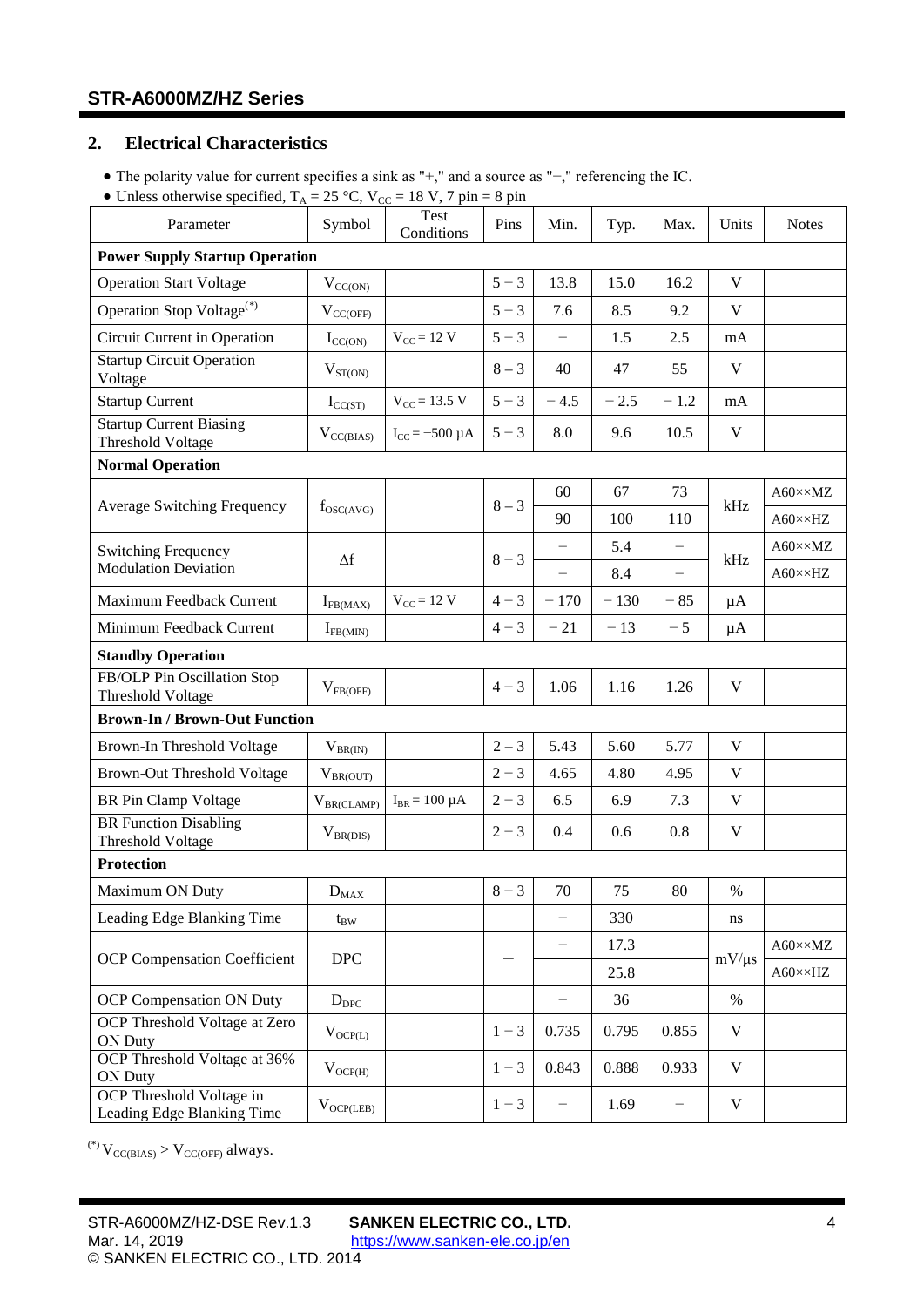## <span id="page-3-0"></span>**2. Electrical Characteristics**

- The polarity value for current specifies a sink as "+," and a source as "−," referencing the IC.
- <span id="page-3-10"></span><span id="page-3-8"></span><span id="page-3-5"></span><span id="page-3-4"></span><span id="page-3-3"></span><span id="page-3-2"></span>• Unless otherwise specified,  $T_A = 25 °C$ ,  $V_{CC} = 18 V$ , 7 pin = 8 pin

| Parameter                                                  | Symbol            | Test<br>Conditions      | Pins                     | Min.                     | Typ.   | Max.                     | Units       | <b>Notes</b>           |
|------------------------------------------------------------|-------------------|-------------------------|--------------------------|--------------------------|--------|--------------------------|-------------|------------------------|
| <b>Power Supply Startup Operation</b>                      |                   |                         |                          |                          |        |                          |             |                        |
| <b>Operation Start Voltage</b>                             | $V_{CC(ON)}$      |                         | $5 - 3$                  | 13.8                     | 15.0   | 16.2                     | V           |                        |
| Operation Stop Voltage <sup>(*)</sup>                      | $V_{CC(OFF)}$     |                         | $5 - 3$                  | 7.6                      | 8.5    | 9.2                      | V           |                        |
| Circuit Current in Operation                               | $I_{CC(ON)}$      | $V_{CC}$ = 12 V         | $5 - 3$                  | $\qquad \qquad -$        | 1.5    | 2.5                      | mA          |                        |
| <b>Startup Circuit Operation</b><br>Voltage                | $V_{ST(ON)}$      |                         | $8 - 3$                  | 40                       | 47     | 55                       | V           |                        |
| <b>Startup Current</b>                                     | $I_{CC(ST)}$      | $V_{CC}$ = 13.5 V       | $5 - 3$                  | $-4.5$                   | $-2.5$ | $-1.2$                   | mA          |                        |
| <b>Startup Current Biasing</b><br><b>Threshold Voltage</b> | $V_{CC(BIAS)}$    | $I_{CC}$ = -500 $\mu$ A | $5 - 3$                  | 8.0                      | 9.6    | 10.5                     | $\mathbf V$ |                        |
| <b>Normal Operation</b>                                    |                   |                         |                          |                          |        |                          |             |                        |
|                                                            |                   |                         | $8 - 3$                  | 60                       | 67     | 73                       | kHz         | A60××MZ                |
| <b>Average Switching Frequency</b>                         | $f_{OSC(AVG)}$    |                         |                          | 90                       | 100    | 110                      |             | $A60 \times \times HZ$ |
| <b>Switching Frequency</b>                                 |                   |                         |                          | $\overline{\phantom{0}}$ | 5.4    | $\overline{\phantom{m}}$ |             | A60××MZ                |
| <b>Modulation Deviation</b>                                | $\Delta f$        |                         | $8 - 3$                  | $\overline{\phantom{0}}$ | 8.4    | $\overline{\phantom{m}}$ | kHz         | $A60 \times \times HZ$ |
| Maximum Feedback Current                                   | $I_{FB(MAX)}$     | $V_{CC}$ = 12 V         | $4 - 3$                  | $-170$                   | $-130$ | $-85$                    | μA          |                        |
| Minimum Feedback Current                                   | $I_{FB(MIN)}$     |                         | $4 - 3$                  | $-21$                    | $-13$  | $-5$                     | μA          |                        |
| <b>Standby Operation</b>                                   |                   |                         |                          |                          |        |                          |             |                        |
| FB/OLP Pin Oscillation Stop<br>Threshold Voltage           | $V_{FB(OFF)}$     |                         | $4 - 3$                  | 1.06                     | 1.16   | 1.26                     | V           |                        |
| <b>Brown-In / Brown-Out Function</b>                       |                   |                         |                          |                          |        |                          |             |                        |
| Brown-In Threshold Voltage                                 | $V_{BR(IN)}$      |                         | $2 - 3$                  | 5.43                     | 5.60   | 5.77                     | V           |                        |
| <b>Brown-Out Threshold Voltage</b>                         | $\rm V_{BR(OUT)}$ |                         | $2 - 3$                  | 4.65                     | 4.80   | 4.95                     | V           |                        |
| BR Pin Clamp Voltage                                       | $V_{BR(CLAMP)}$   | $I_{BR} = 100 \mu A$    | $2 - 3$                  | 6.5                      | 6.9    | 7.3                      | V           |                        |
| <b>BR</b> Function Disabling<br>Threshold Voltage          | $V_{BR(DIS)}$     |                         | $2 - 3$                  | 0.4                      | 0.6    | 0.8                      | V           |                        |
| <b>Protection</b>                                          |                   |                         |                          |                          |        |                          |             |                        |
| Maximum ON Duty                                            | $D_{\rm MAX}$     |                         | $8 - 3$                  | 70                       | 75     | 80                       | $\%$        |                        |
| Leading Edge Blanking Time                                 | $t_{BW}$          |                         |                          | -                        | 330    | $\overline{\phantom{0}}$ | ns          |                        |
|                                                            | DPC               |                         |                          | -                        | 17.3   | $\qquad \qquad -$        |             | $A60 \times \times MZ$ |
| <b>OCP</b> Compensation Coefficient                        |                   |                         |                          |                          | 25.8   | $\qquad \qquad -$        | $mV/\mu s$  | $A60 \times \times HZ$ |
| OCP Compensation ON Duty                                   | $D_{\rm DPC}$     |                         | $\overline{\phantom{0}}$ |                          | 36     | $\overline{\phantom{0}}$ | $\%$        |                        |
| OCP Threshold Voltage at Zero<br><b>ON Duty</b>            | $V_{OCP(L)}$      |                         | $1 - 3$                  | 0.735                    | 0.795  | 0.855                    | V           |                        |
| <b>OCP</b> Threshold Voltage at 36%<br><b>ON Duty</b>      | $V_{OCP(H)}$      |                         | $1 - 3$                  | 0.843                    | 0.888  | 0.933                    | $\mathbf V$ |                        |
| OCP Threshold Voltage in<br>Leading Edge Blanking Time     | $V_{OCP(LEB)}$    |                         | $1 - 3$                  | -                        | 1.69   | -                        | V           |                        |

<span id="page-3-15"></span><span id="page-3-14"></span><span id="page-3-13"></span><span id="page-3-12"></span><span id="page-3-11"></span><span id="page-3-9"></span><span id="page-3-7"></span><span id="page-3-6"></span><span id="page-3-1"></span>(\*)  $V_{\text{CC(BIAS)}} > V_{\text{CC(OFF)}}$  always.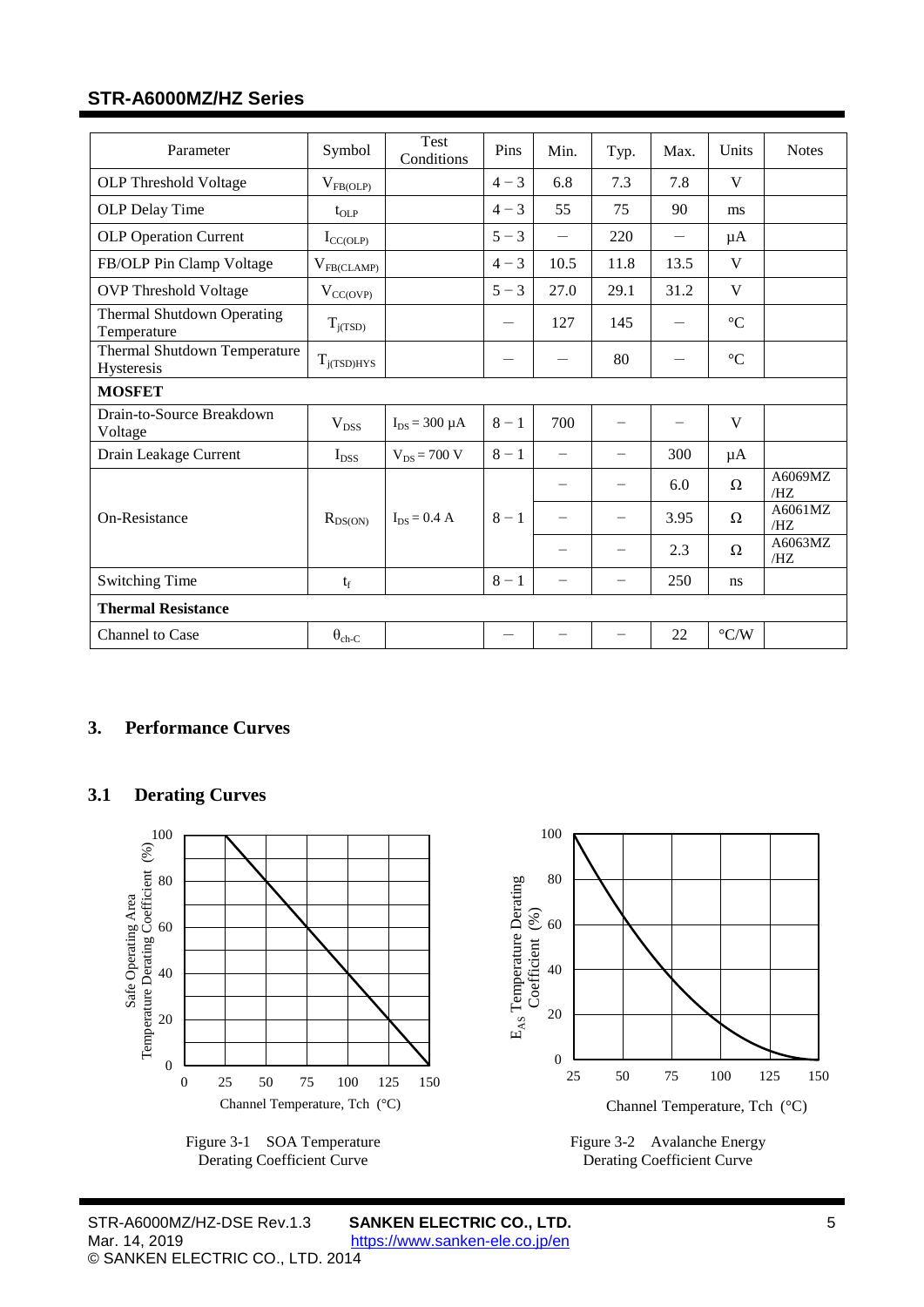<span id="page-4-9"></span><span id="page-4-8"></span><span id="page-4-7"></span><span id="page-4-6"></span><span id="page-4-5"></span><span id="page-4-4"></span>

| Parameter                                  | Symbol           | Test<br>Conditions   | Pins                           | Min.                     | Typ.                     | Max.                     | Units              | <b>Notes</b>   |
|--------------------------------------------|------------------|----------------------|--------------------------------|--------------------------|--------------------------|--------------------------|--------------------|----------------|
| <b>OLP</b> Threshold Voltage               | $V_{FB(OLP)}$    |                      | $4 - 3$                        | 6.8                      | 7.3                      | 7.8                      | V                  |                |
| OLP Delay Time                             | $t_{OLP}$        |                      | $4 - 3$                        | 55                       | 75                       | 90                       | ms                 |                |
| <b>OLP Operation Current</b>               | $I_{CC(OLP)}$    |                      | $5 - 3$                        | $\overline{\phantom{0}}$ | 220                      | $\overline{\phantom{0}}$ | $\mu A$            |                |
| FB/OLP Pin Clamp Voltage                   | $V_{FB (CLAMP)}$ |                      | $4 - 3$                        | 10.5                     | 11.8                     | 13.5                     | V                  |                |
| <b>OVP</b> Threshold Voltage               | $V_{CC(OVP)}$    |                      | $5 - 3$                        | 27.0                     | 29.1                     | 31.2                     | V                  |                |
| Thermal Shutdown Operating<br>Temperature  | $T_{j(TSD)}$     |                      | $\qquad \qquad \longleftarrow$ | 127                      | 145                      |                          | $\rm ^{\circ}C$    |                |
| Thermal Shutdown Temperature<br>Hysteresis | $T_{i(TSD)HYS}$  |                      | $\qquad \qquad \longleftarrow$ |                          | 80                       |                          | $\rm ^{\circ}C$    |                |
| <b>MOSFET</b>                              |                  |                      |                                |                          |                          |                          |                    |                |
| Drain-to-Source Breakdown<br>Voltage       | $V_{DSS}$        | $I_{DS} = 300 \mu A$ | $8 - 1$                        | 700                      | $\qquad \qquad -$        | —                        | V                  |                |
| Drain Leakage Current                      | $I_{DSS}$        | $V_{DS}$ = 700 V     | $8 - 1$                        | $\overline{\phantom{m}}$ | -                        | 300                      | $\mu A$            |                |
|                                            |                  |                      |                                |                          |                          | 6.0                      | $\Omega$           | A6069MZ<br>/HZ |
| On-Resistance                              | $R_{DS(ON)}$     | $I_{DS} = 0.4 A$     | $8 - 1$                        |                          | $\overline{\phantom{m}}$ | 3.95                     | $\Omega$           | A6061MZ<br>/HZ |
|                                            |                  |                      |                                |                          | $\overline{\phantom{0}}$ | 2.3                      | $\Omega$           | A6063MZ<br>/HZ |
| <b>Switching Time</b>                      | $t_f$            |                      | $8 - 1$                        | $\overline{\phantom{0}}$ | $\overline{\phantom{0}}$ | 250                      | ns                 |                |
| <b>Thermal Resistance</b>                  |                  |                      |                                |                          |                          |                          |                    |                |
| Channel to Case                            | $\theta_{ch-C}$  |                      |                                |                          | $\overline{\phantom{0}}$ | 22                       | $\rm ^{\circ} C/W$ |                |

## <span id="page-4-1"></span><span id="page-4-0"></span>**3. Performance Curves**

## **3.1 Derating Curves**



<span id="page-4-3"></span>Derating Coefficient Curve

<span id="page-4-2"></span>Figure 3-2 Avalanche Energy Derating Coefficient Curve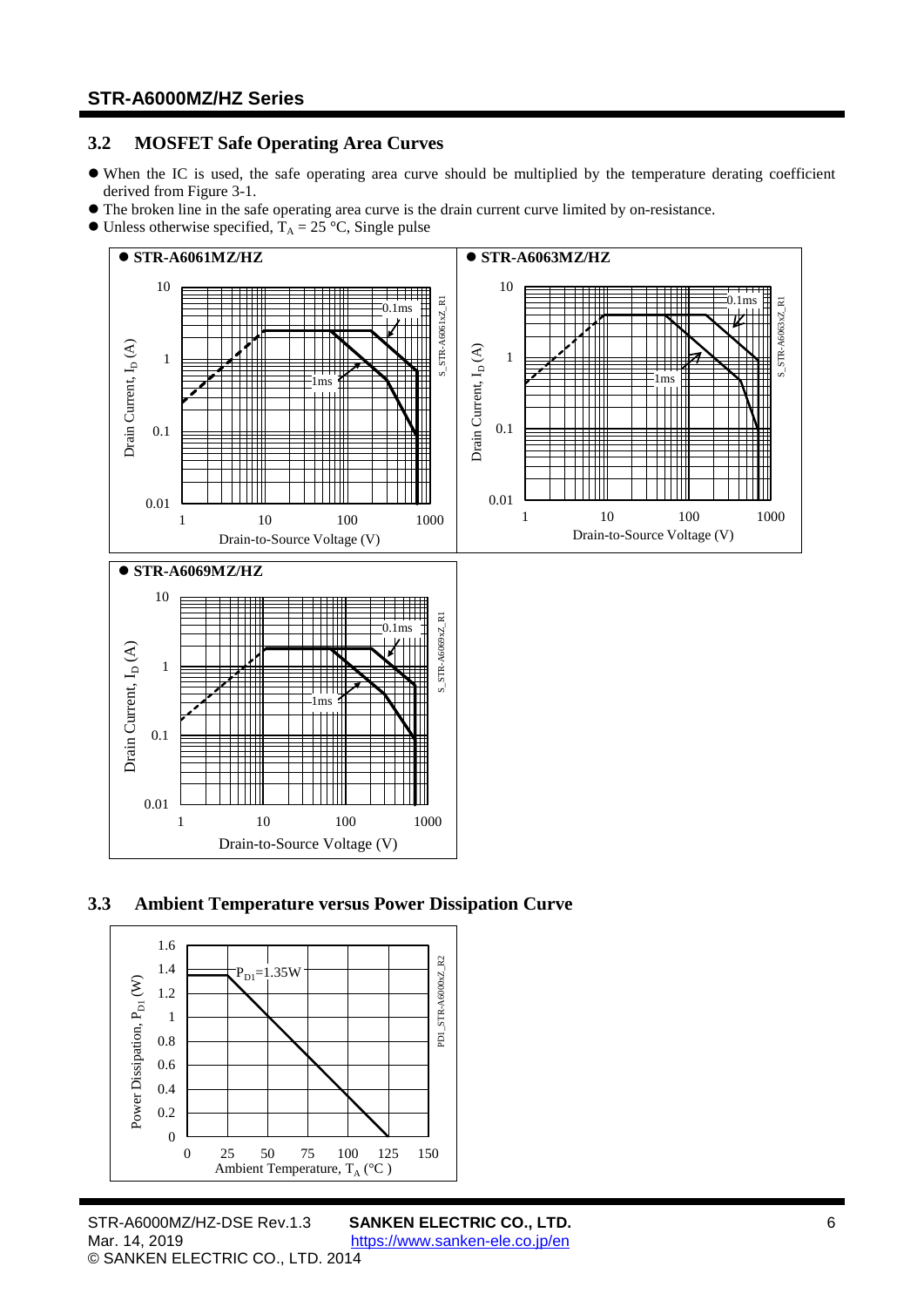### <span id="page-5-0"></span>**3.2 MOSFET Safe Operating Area Curves**

- When the IC is used, the safe operating area curve should be multiplied by the temperature derating coefficient derived from [Figure](#page-4-3) 3-1.
- The broken line in the safe operating area curve is the drain current curve limited by on-resistance.
- $\bullet$  Unless otherwise specified,  $T_A = 25 \degree C$ , Single pulse



### <span id="page-5-1"></span>**3.3 Ambient Temperature versus Power Dissipation Curve**

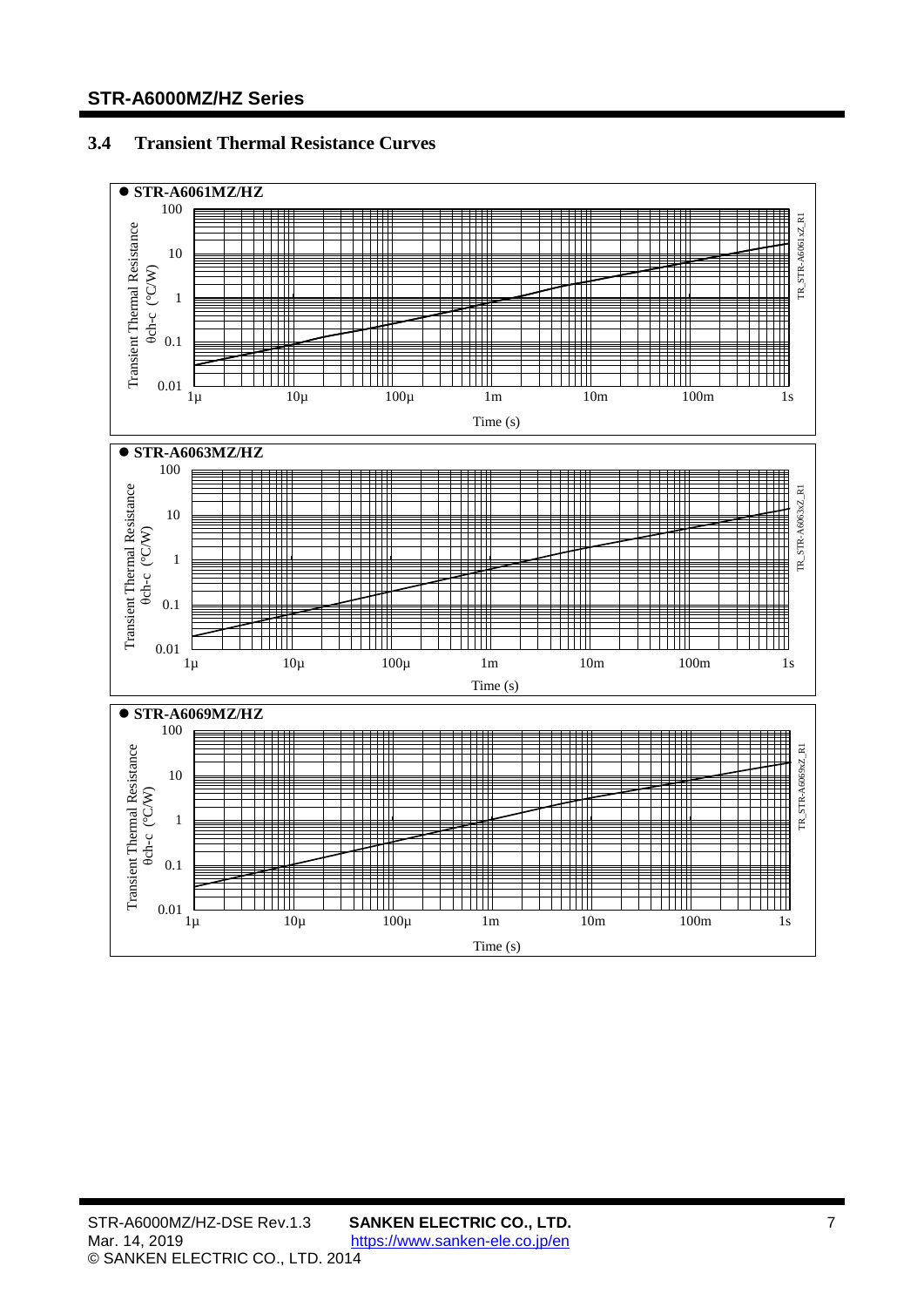## <span id="page-6-0"></span>**3.4 Transient Thermal Resistance Curves**

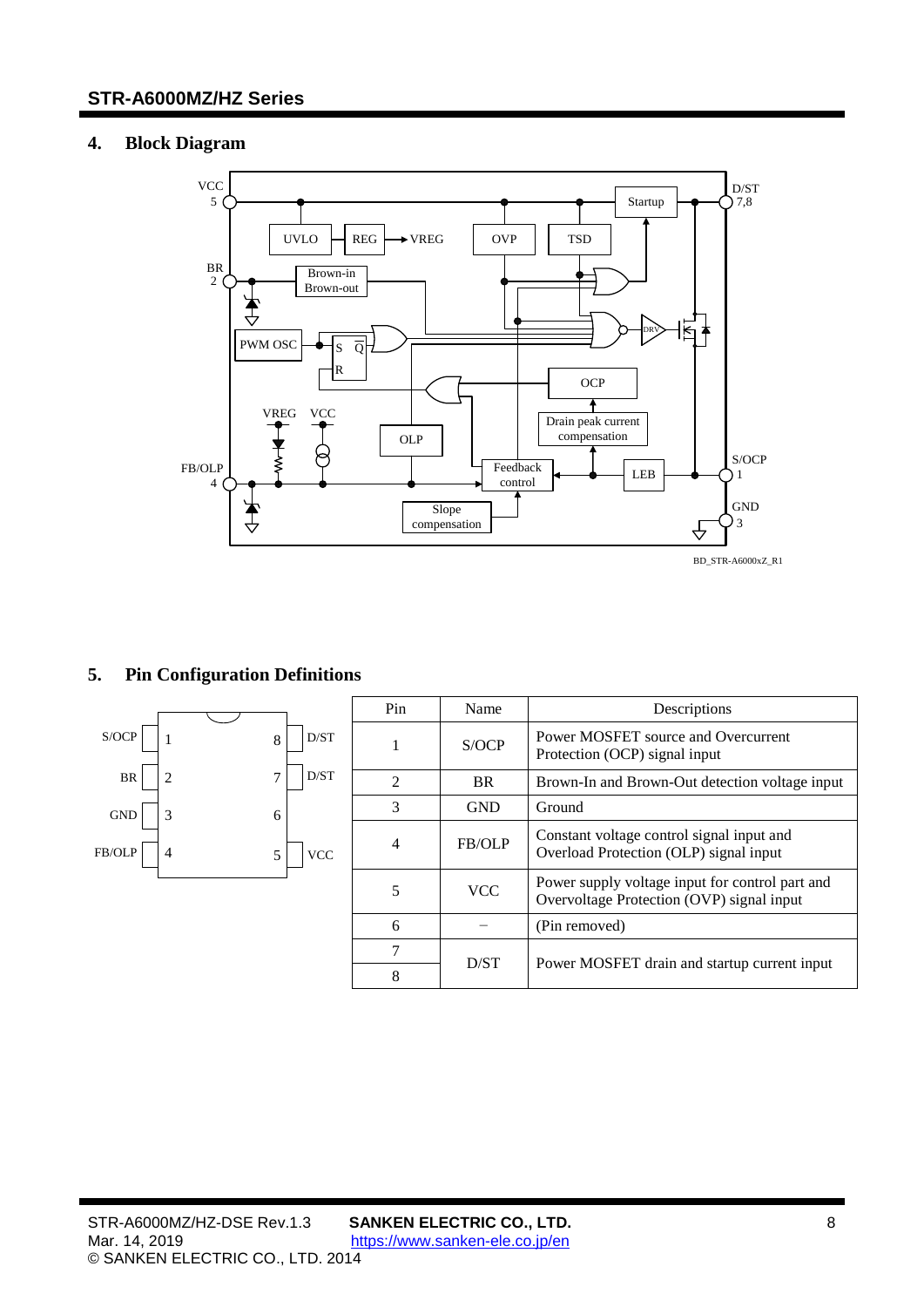## <span id="page-7-0"></span>**4. Block Diagram**



## <span id="page-7-1"></span>**5. Pin Configuration Definitions**

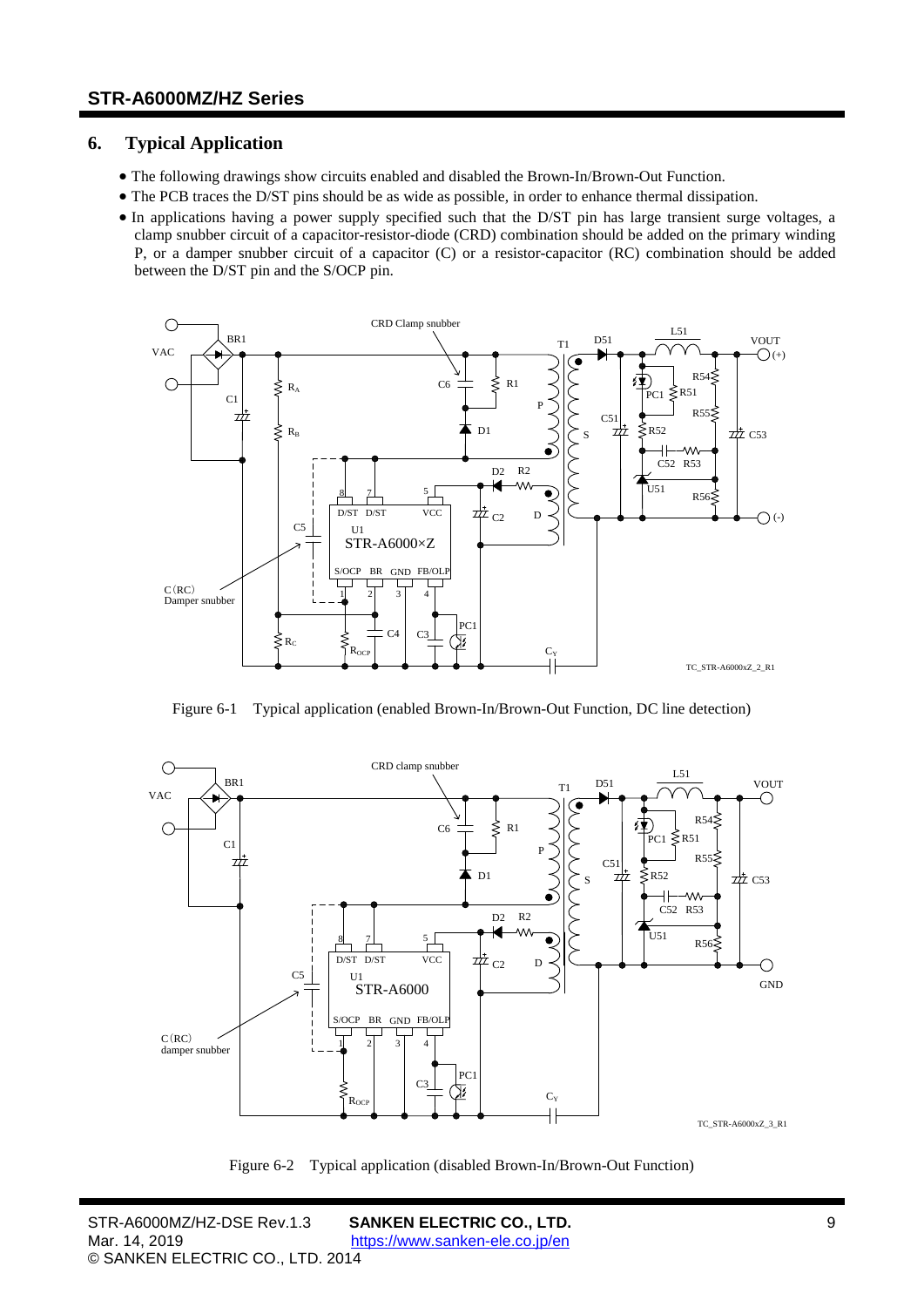## <span id="page-8-0"></span>**6. Typical Application**

- The following drawings show circuits enabled and disabled the Brown-In/Brown-Out Function.
- The PCB traces the D/ST pins should be as wide as possible, in order to enhance thermal dissipation.
- In applications having a power supply specified such that the D/ST pin has large transient surge voltages, a clamp snubber circuit of a capacitor-resistor-diode (CRD) combination should be added on the primary winding P, or a damper snubber circuit of a capacitor (C) or a resistor-capacitor (RC) combination should be added between the D/ST pin and the S/OCP pin.



Figure 6-1 Typical application (enabled Brown-In/Brown-Out Function, DC line detection)



Figure 6-2 Typical application (disabled Brown-In/Brown-Out Function)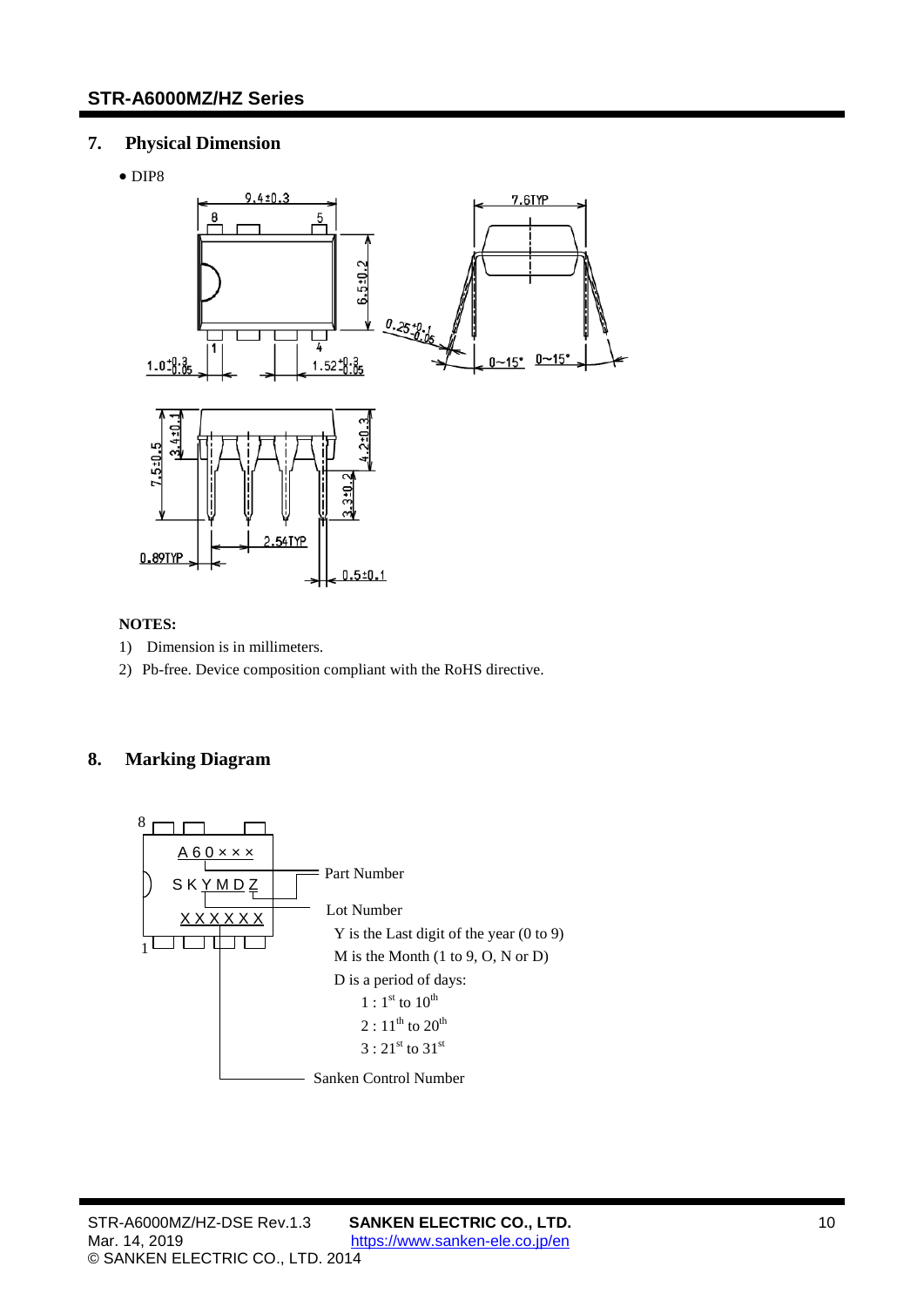## <span id="page-9-0"></span>**7. Physical Dimension**

• DIP8



## **NOTES:**

- 1) Dimension is in millimeters.
- <span id="page-9-1"></span>2) Pb-free. Device composition compliant with the RoHS directive.

## **8. Marking Diagram**

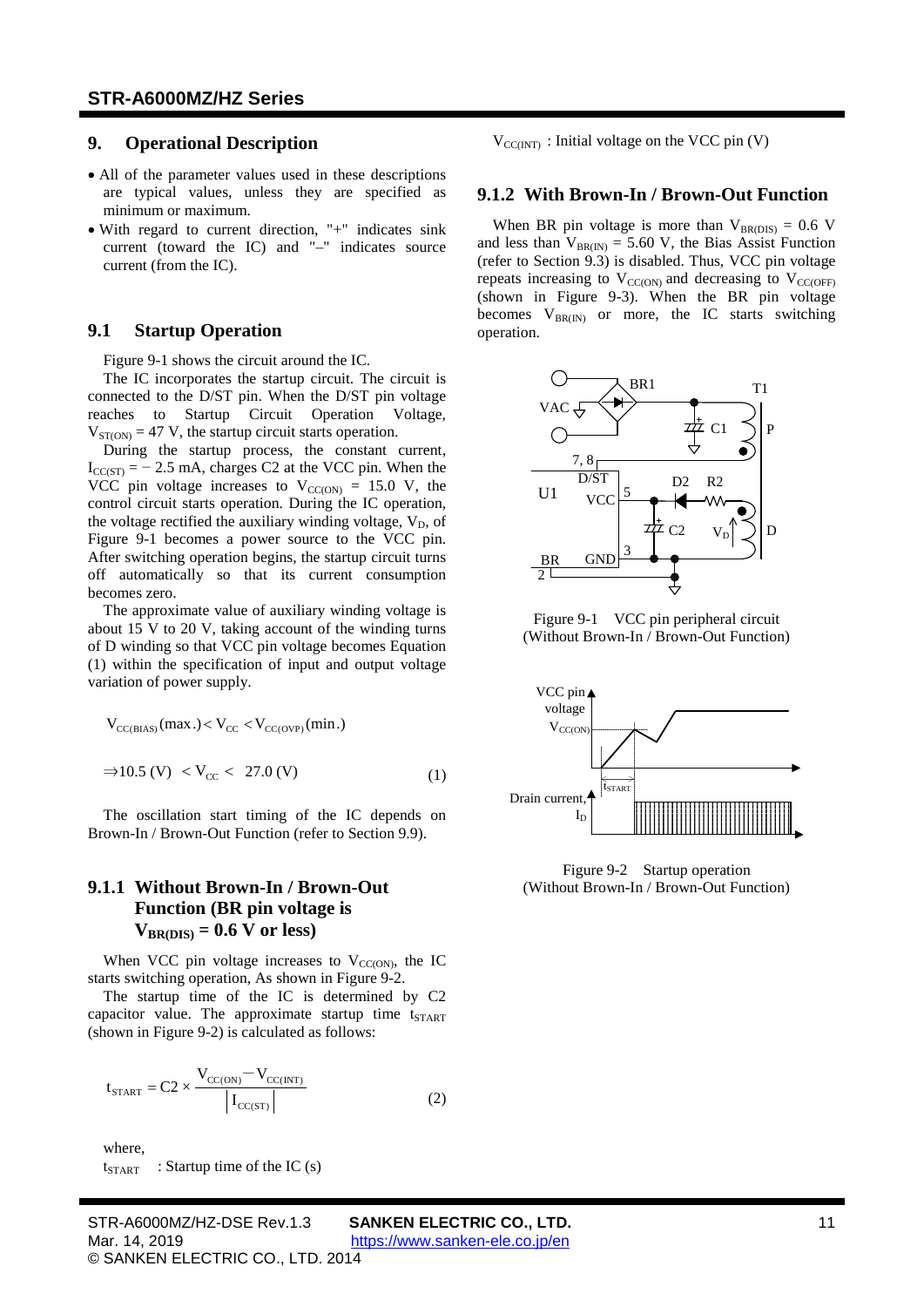### <span id="page-10-0"></span>**9. Operational Description**

- All of the parameter values used in these descriptions are typical values, unless they are specified as minimum or maximum.
- With regard to current direction, "+" indicates sink current (toward the IC) and "–" indicates source current (from the IC).

#### <span id="page-10-1"></span>**9.1 Startup Operation**

[Figure](#page-10-2) 9-1 shows the circuit around the IC.

The IC incorporates the startup circuit. The circuit is connected to the D/ST pin. When the D/ST pin voltage reaches to Startup Circuit Operation Voltage,  $V_{ST(ON)} = 47$  $V_{ST(ON)} = 47$  V, the startup circuit starts operation.

During the startup process, the constant current,  $I_{CC(ST)} = -2.5$  $I_{CC(ST)} = -2.5$  mA, charges C2 at the VCC pin. When the VCC pin voltage increases to  $V_{CC(ON)} = 15.0$  $V_{CC(ON)} = 15.0$  V, the control circuit starts operation. During the IC operation, the voltage rectified the auxiliary winding voltage,  $V_D$ , of [Figure](#page-10-2) 9-1 becomes a power source to the VCC pin. After switching operation begins, the startup circuit turns off automatically so that its current consumption becomes zero.

The approximate value of auxiliary winding voltage is about 15 V to 20 V, taking account of the winding turns of D winding so that VCC pin voltage becomes Equation [\(1\)](#page-10-3) within the specification of input and output voltage variation of power supply.

$$
V_{CC(BIAS)}(max.) < V_{CC} < V_{CC(OVP)}(min.)
$$
  
\n
$$
\Rightarrow 10.5 (V) < V_{CC} < 27.0 (V)
$$
 (1)

The oscillation start timing of the IC depends on Brown-In / Brown-Out Function (refer to Section [9.9\)](#page-13-3).

### **9.1.1 Without Brown-In / Brown-Out Function (BR pin voltage is**   $V_{\text{BR(DIS)}} = 0.6 \text{ V or less}$  $V_{\text{BR(DIS)}} = 0.6 \text{ V or less}$  $V_{\text{BR(DIS)}} = 0.6 \text{ V or less}$

When VCC pin voltage increases to  $V_{CC(ON)}$ , the IC starts switching operation, As shown in [Figure](#page-10-4) 9-2.

The startup time of the IC is determined by C2 capacitor value. The approximate startup time  $t_{START}$ (shown in [Figure](#page-10-4) 9-2) is calculated as follows:

$$
t_{\text{START}} = C2 \times \frac{V_{\text{CC(ON)}} - V_{\text{CC(INT)}}}{|I_{\text{CC(ST)}}|}
$$
 (2)

where,  $t_{START}$  : Startup time of the IC (s)

Figure 9-1 VCC pin peripheral circuit (Without Brown-In / Brown-Out Function)

operation.

VAC

<span id="page-10-2"></span>BR 2

 $U1$   $VCC\frac{5}{7}$ 

D/ST 7, 8

**GNI** 

3

<span id="page-10-3"></span>

 $V_{\text{CC}(\text{INT})}$ : Initial voltage on the VCC pin (V)

**9.1.2 With Brown-In / Brown-Out Function**

BR1

When BR pin voltage is more than  $V_{BR(DIS)} = 0.6$  $V_{BR(DIS)} = 0.6$  V and less than  $V_{BR(IN)} = 5.60$  $V_{BR(IN)} = 5.60$  V, the Bias Assist Function (refer to Section [9.3\)](#page-11-1) is disabled. Thus, VCC pin voltage repeats increasing to  $V_{CC(ON)}$  and decreasing to  $V_{CC(OFF)}$ (shown in [Figure](#page-11-2) 9-3). When the BR pin voltage becomes  $V_{BR(IN)}$  or more, the IC starts switching

 $C<sub>1</sub>$ 

 $V_D$ 

T1

P

D

D2 R2

 $\frac{1}{2}C_2$ 

<span id="page-10-4"></span>Figure 9-2 Startup operation (Without Brown-In / Brown-Out Function)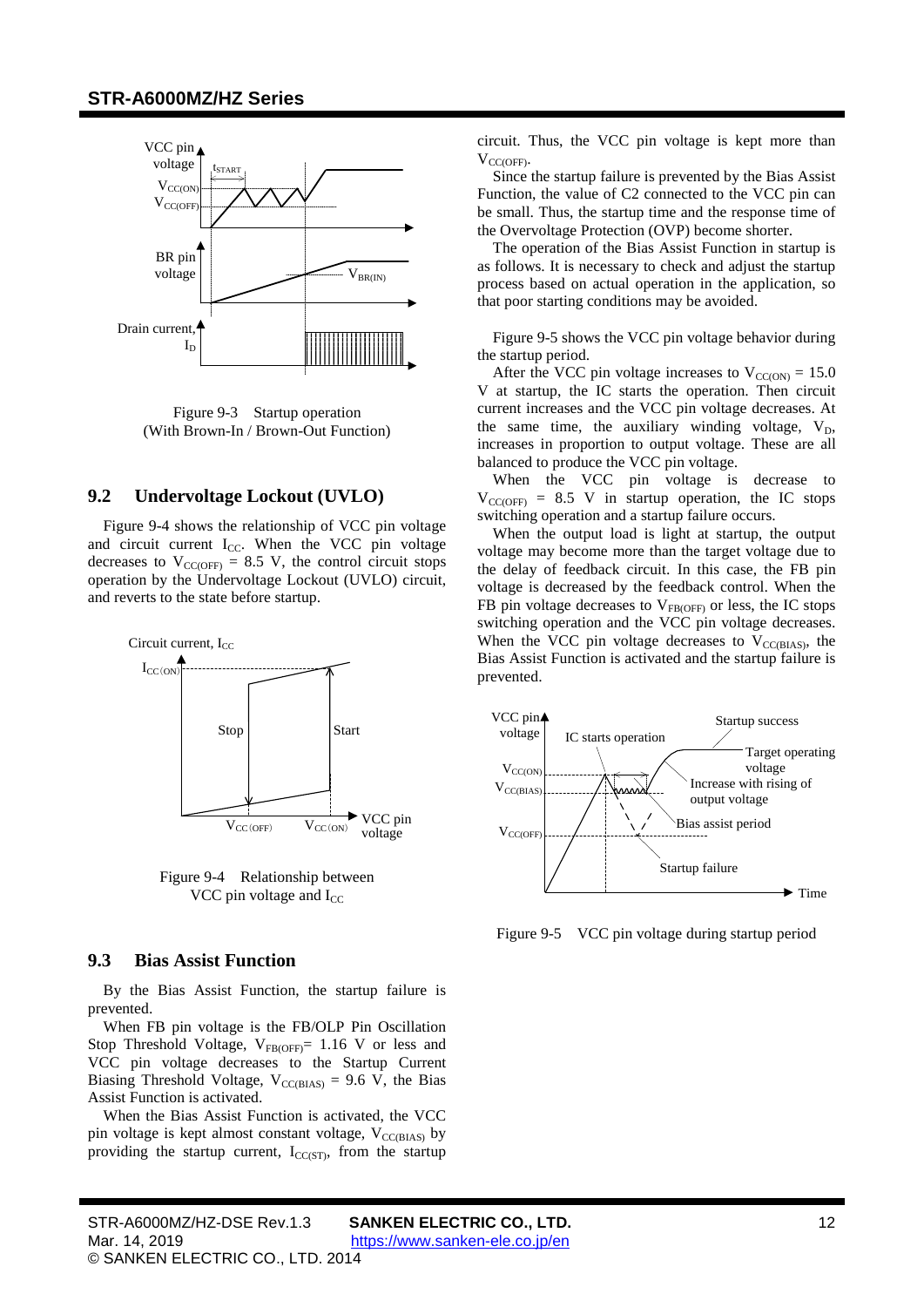

<span id="page-11-2"></span>Figure 9-3 Startup operation (With Brown-In / Brown-Out Function)

#### <span id="page-11-0"></span>**9.2 Undervoltage Lockout (UVLO)**

[Figure](#page-11-3) 9-4 shows the relationship of VCC pin voltage and circuit current  $I_{CC}$ . When the VCC pin voltage decreases to  $V_{\text{CC(OFF)}} = 8.5 \text{ V}$  $V_{\text{CC(OFF)}} = 8.5 \text{ V}$  $V_{\text{CC(OFF)}} = 8.5 \text{ V}$ , the control circuit stops operation by the Undervoltage Lockout (UVLO) circuit, and reverts to the state before startup.



<span id="page-11-3"></span>Figure 9-4 Relationship between VCC pin voltage and  $I_{CC}$ 

#### <span id="page-11-1"></span>**9.3 Bias Assist Function**

By the Bias Assist Function, the startup failure is prevented.

When FB pin voltage is the FB/OLP Pin Oscillation Stop Threshold Voltage,  $V_{FB(OFF)}= 1.16$  $V_{FB(OFF)}= 1.16$  V or less and VCC pin voltage decreases to the Startup Current Biasing Threshold Voltage,  $V_{CC(BIAS)} = 9.6$  $V_{CC(BIAS)} = 9.6$  V, the Bias Assist Function is activated.

When the Bias Assist Function is activated, the VCC pin voltage is kept almost constant voltage,  $V_{CC(BIAS)}$  by providing the startup current,  $I_{CC(ST)}$ , from the startup

circuit. Thus, the VCC pin voltage is kept more than  $V_{CC(OFF)}$ 

Since the startup failure is prevented by the Bias Assist Function, the value of C2 connected to the VCC pin can be small. Thus, the startup time and the response time of the Overvoltage Protection (OVP) become shorter.

The operation of the Bias Assist Function in startup is as follows. It is necessary to check and adjust the startup process based on actual operation in the application, so that poor starting conditions may be avoided.

[Figure 9-5](#page-11-4) shows the VCC pin voltage behavior during the startup period.

After the VCC pin voltage increases to  $V_{CC(ON)} = 15.0$  $V_{CC(ON)} = 15.0$ V at startup, the IC starts the operation. Then circuit current increases and the VCC pin voltage decreases. At the same time, the auxiliary winding voltage,  $V_D$ , increases in proportion to output voltage. These are all balanced to produce the VCC pin voltage.

When the VCC pin voltage is decrease to  $V_{\text{CC(OFF)}} = 8.5$  $V_{\text{CC(OFF)}} = 8.5$  V in startup operation, the IC stops switching operation and a startup failure occurs.

When the output load is light at startup, the output voltage may become more than the target voltage due to the delay of feedback circuit. In this case, the FB pin voltage is decreased by the feedback control. When the FB pin voltage decreases to  $V_{FB(OFF)}$  or less, the IC stops switching operation and the VCC pin voltage decreases. When the VCC pin voltage decreases to  $V_{CC(BIAS)}$ , the Bias Assist Function is activated and the startup failure is prevented.



<span id="page-11-4"></span>Figure 9-5 VCC pin voltage during startup period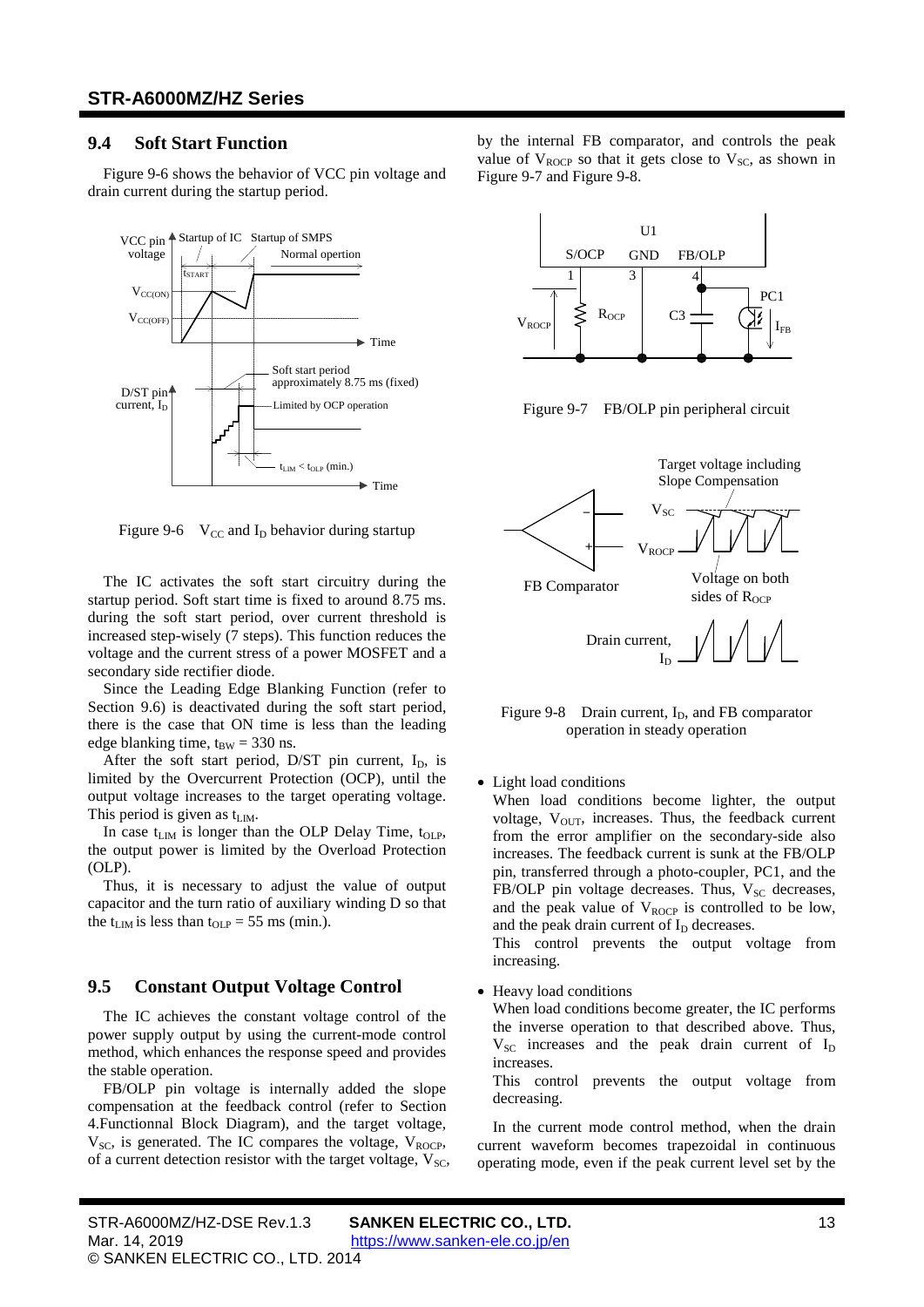### <span id="page-12-0"></span>**9.4 Soft Start Function**

Figure 9-6 shows the behavior of VCC pin voltage and drain current during the startup period.



Figure 9-6  $V_{CC}$  and I<sub>D</sub> behavior during startup

The IC activates the soft start circuitry during the startup period. Soft start time is fixed to around 8.75 ms. during the soft start period, over current threshold is increased step-wisely (7 steps). This function reduces the voltage and the current stress of a power MOSFET and a secondary side rectifier diode.

Since the Leading Edge Blanking Function (refer to Section [9.6\)](#page-13-0) is deactivated during the soft start period, there is the case that ON time is less than the leading edge blanking time,  $t_{BW} = 330$  $t_{BW} = 330$  ns.

After the soft start period, D/ST pin current,  $I_D$ , is limited by the Overcurrent Protection (OCP), until the output voltage increases to the target operating voltage. This period is given as  $t_{\text{LIM}}$ .

In case  $t_{LM}$  is longer than the OLP Delay Time,  $t_{OLP}$ , the output power is limited by the Overload Protection (OLP).

Thus, it is necessary to adjust the value of output capacitor and the turn ratio of auxiliary winding D so that the  $t_{\text{LIM}}$  is less than  $t_{\text{OLP}} = 55$  $t_{\text{OLP}} = 55$  ms (min.).

#### <span id="page-12-1"></span>**9.5 Constant Output Voltage Control**

The IC achieves the constant voltage control of the power supply output by using the current-mode control method, which enhances the response speed and provides the stable operation.

FB/OLP pin voltage is internally added the slope compensation at the feedback control (refer to Section [4.](#page-7-0)Functionnal Block Diagram), and the target voltage,  $V_{SC}$ , is generated. The IC compares the voltage,  $V_{ROCP}$ , of a current detection resistor with the target voltage,  $V_{SC}$ , by the internal FB comparator, and controls the peak value of  $V_{ROCP}$  so that it gets close to  $V_{SC}$ , as shown in Figure 9-7 and Figure 9-8.



Figure 9-7 FB/OLP pin peripheral circuit



Figure 9-8 Drain current,  $I_D$ , and FB comparator operation in steady operation

 $I_D$ 

• Light load conditions

When load conditions become lighter, the output voltage,  $V_{\text{OUT}}$ , increases. Thus, the feedback current from the error amplifier on the secondary-side also increases. The feedback current is sunk at the FB/OLP pin, transferred through a photo-coupler, PC1, and the FB/OLP pin voltage decreases. Thus,  $V_{SC}$  decreases, and the peak value of  $V_{\text{ROCP}}$  is controlled to be low, and the peak drain current of  $I<sub>D</sub>$  decreases.

This control prevents the output voltage from increasing.

• Heavy load conditions

When load conditions become greater, the IC performs the inverse operation to that described above. Thus,  $V_{SC}$  increases and the peak drain current of  $I_D$ increases.

This control prevents the output voltage from decreasing.

In the current mode control method, when the drain current waveform becomes trapezoidal in continuous operating mode, even if the peak current level set by the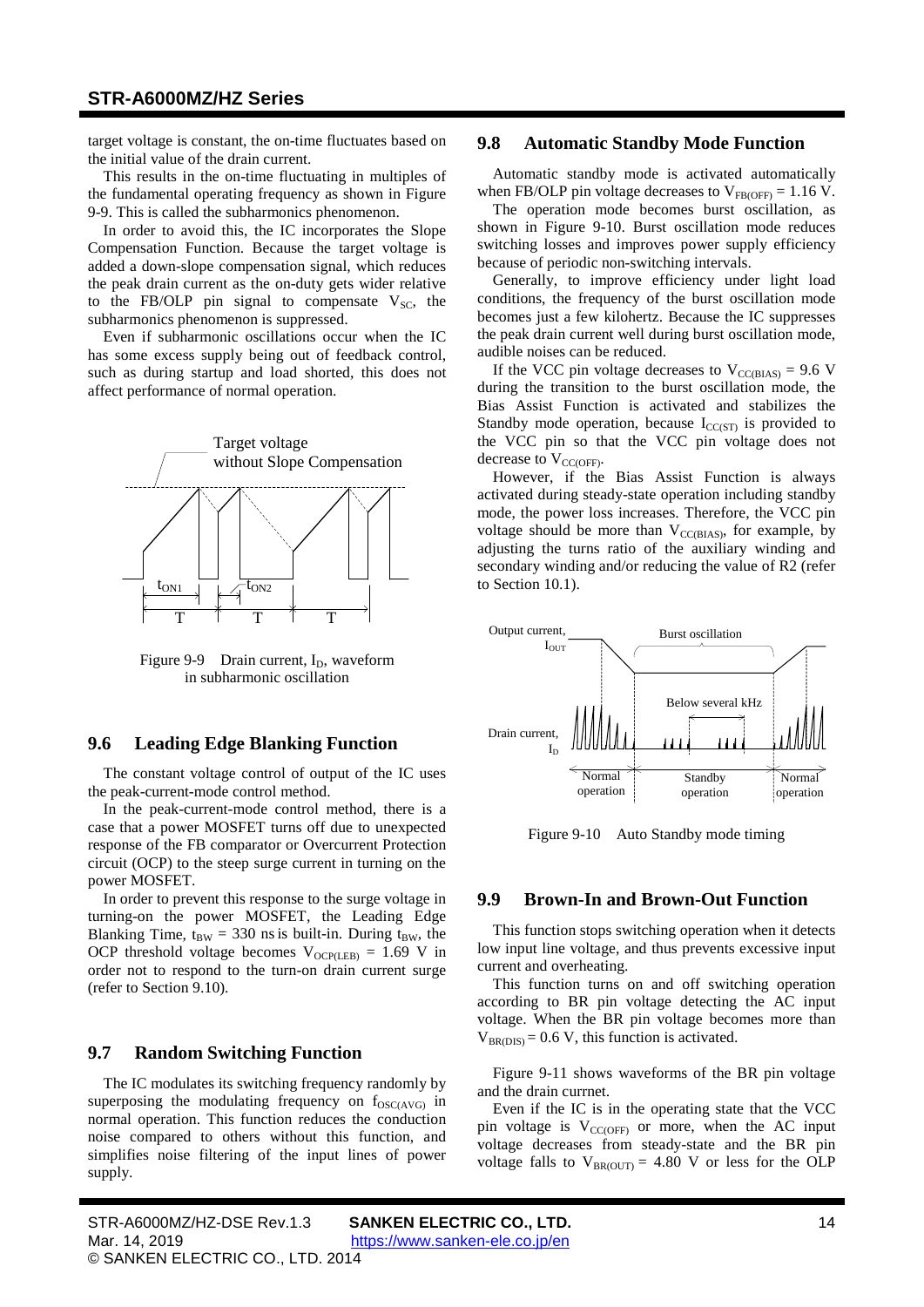target voltage is constant, the on-time fluctuates based on the initial value of the drain current.

This results in the on-time fluctuating in multiples of the fundamental operating frequency as shown in [Figure](#page-13-4) [9-9.](#page-13-4) This is called the subharmonics phenomenon.

In order to avoid this, the IC incorporates the Slope Compensation Function. Because the target voltage is added a down-slope compensation signal, which reduces the peak drain current as the on-duty gets wider relative to the FB/OLP pin signal to compensate  $V_{SC}$ , the subharmonics phenomenon is suppressed.

Even if subharmonic oscillations occur when the IC has some excess supply being out of feedback control, such as during startup and load shorted, this does not affect performance of normal operation.



<span id="page-13-4"></span>Figure 9-9 Drain current,  $I_D$ , waveform in subharmonic oscillation

### <span id="page-13-0"></span>**9.6 Leading Edge Blanking Function**

The constant voltage control of output of the IC uses the peak-current-mode control method.

In the peak-current-mode control method, there is a case that a power MOSFET turns off due to unexpected response of the FB comparator or Overcurrent Protection circuit (OCP) to the steep surge current in turning on the power MOSFET.

In order to prevent this response to the surge voltage in turning-on the power MOSFET, the Leading Edge Blanking Time,  $t_{BW} = 330$  $t_{BW} = 330$  ns is built-in. During  $t_{BW}$ , the OCP threshold voltage becomes  $V_{OCP(LEB)} = 1.69$  $V_{OCP(LEB)} = 1.69$  V in order not to respond to the turn-on drain current surge (refer to Section [9.10\)](#page-15-0).

### <span id="page-13-1"></span>**9.7 Random Switching Function**

The IC modulates its switching frequency randomly by superposing the modulating frequency on  $f_{\rm OSC(AVG)}$  in normal operation. This function reduces the conduction noise compared to others without this function, and simplifies noise filtering of the input lines of power supply.

#### <span id="page-13-2"></span>**9.8 Automatic Standby Mode Function**

Automatic standby mode is activated automatically when FB/OLP pin voltage decreases to  $V_{FB(OFF)} = 1.16$  $V_{FB(OFF)} = 1.16$  V.

The operation mode becomes burst oscillation, as shown in [Figure](#page-13-5) 9-10. Burst oscillation mode reduces switching losses and improves power supply efficiency because of periodic non-switching intervals.

Generally, to improve efficiency under light load conditions, the frequency of the burst oscillation mode becomes just a few kilohertz. Because the IC suppresses the peak drain current well during burst oscillation mode, audible noises can be reduced.

If the VCC pin voltage decreases to  $V_{CCBIAS} = 9.6$  $V_{CCBIAS} = 9.6$  V during the transition to the burst oscillation mode, the Bias Assist Function is activated and stabilizes the Standby mode operation, because  $I_{CC(ST)}$  is provided to the VCC pin so that the VCC pin voltage does not decrease to  $V_{CC(OFF)}$ .

However, if the Bias Assist Function is always activated during steady-state operation including standby mode, the power loss increases. Therefore, the VCC pin voltage should be more than  $V_{CC(BIAS)}$ , for example, by adjusting the turns ratio of the auxiliary winding and secondary winding and/or reducing the value of R2 (refer to Section [10.1\)](#page-18-1).



<span id="page-13-5"></span>Figure 9-10 Auto Standby mode timing

#### <span id="page-13-3"></span>**9.9 Brown-In and Brown-Out Function**

This function stops switching operation when it detects low input line voltage, and thus prevents excessive input current and overheating.

This function turns on and off switching operation according to BR pin voltage detecting the AC input voltage. When the BR pin voltage becomes more than  $V_{BR(DIS)} = 0.6$  $V_{BR(DIS)} = 0.6$  V, this function is activated.

Figure 9-11 shows waveforms of the BR pin voltage and the drain currnet.

Even if the IC is in the operating state that the VCC pin voltage is  $V_{CC(OFF)}$  or more, when the AC input voltage decreases from steady-state and the BR pin voltage falls to  $V_{BR(OUT)} = 4.80$  $V_{BR(OUT)} = 4.80$  V or less for the OLP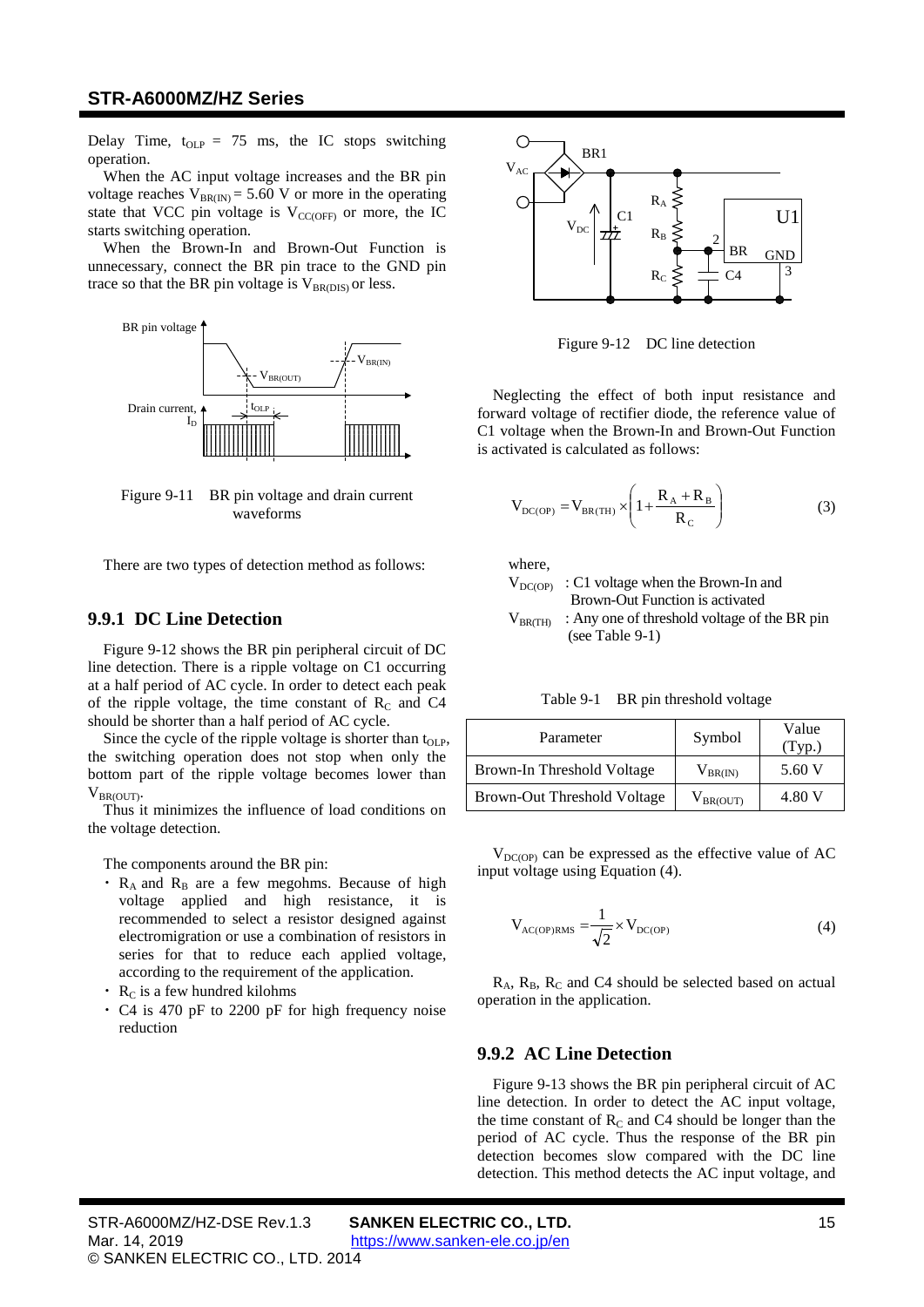Delay Time,  $t_{OLP} = 75$  $t_{OLP} = 75$  ms, the IC stops switching operation.

When the AC input voltage increases and the BR pin voltage reaches  $V_{BR(IN)} = 5.60$  $V_{BR(IN)} = 5.60$  V or more in the operating state that VCC pin voltage is  $V_{CC(OFF)}$  or more, the IC starts switching operation.

When the Brown-In and Brown-Out Function is unnecessary, connect the BR pin trace to the GND pin trace so that the BR pin voltage is  $V_{BR(DIS)}$  or less.



Figure 9-11 BR pin voltage and drain current waveforms

There are two types of detection method as follows:

#### **9.9.1 DC Line Detection**

Figure 9-12 shows the BR pin peripheral circuit of DC line detection. There is a ripple voltage on C1 occurring at a half period of AC cycle. In order to detect each peak of the ripple voltage, the time constant of  $R<sub>C</sub>$  and C4 should be shorter than a half period of AC cycle.

Since the cycle of the ripple voltage is shorter than  $t_{OLP}$ , the switching operation does not stop when only the bottom part of the ripple voltage becomes lower than  $V_{\text{BR(OUT)}}$ .

Thus it minimizes the influence of load conditions on the voltage detection.

The components around the BR pin:

- $R_A$  and  $R_B$  are a few megohms. Because of high voltage applied and high resistance, it is recommended to select a resistor designed against electromigration or use a combination of resistors in series for that to reduce each applied voltage, according to the requirement of the application.
- $\cdot$  R<sub>C</sub> is a few hundred kilohms
- ・ C4 is 470 pF to 2200 pF for high frequency noise reduction



Figure 9-12 DC line detection

Neglecting the effect of both input resistance and forward voltage of rectifier diode, the reference value of C1 voltage when the Brown-In and Brown-Out Function is activated is calculated as follows:

$$
V_{DC(OP)} = V_{BR(TH)} \times \left(1 + \frac{R_A + R_B}{R_C}\right)
$$
 (3)

where,

- $V_{DC(OP)}$ : C1 voltage when the Brown-In and Brown-Out Function is activated
- <span id="page-14-0"></span> $V_{BR(TH)}$ : Any one of threshold voltage of the BR pin (se[e Table 9-1\)](#page-14-0)

| Table 9-1 |  | BR pin threshold voltage |  |
|-----------|--|--------------------------|--|
|-----------|--|--------------------------|--|

| Parameter                          | Symbol            | Value<br>(Tvp.) |
|------------------------------------|-------------------|-----------------|
| Brown-In Threshold Voltage         | $V_{BR(IN)}$      | 5.60 V          |
| <b>Brown-Out Threshold Voltage</b> | $\rm V_{BR(OUT)}$ | 4.80 V          |

 $V_{DC(OP)}$  can be expressed as the effective value of AC input voltage using Equation [\(4\).](#page-14-1)

<span id="page-14-1"></span>
$$
V_{AC(OP)RMS} = \frac{1}{\sqrt{2}} \times V_{DC(OP)} \tag{4}
$$

 $R_A$ ,  $R_B$ ,  $R_C$  and C4 should be selected based on actual operation in the application.

#### **9.9.2 AC Line Detection**

[Figure](#page-15-1) 9-13 shows the BR pin peripheral circuit of AC line detection. In order to detect the AC input voltage, the time constant of  $R_C$  and C4 should be longer than the period of AC cycle. Thus the response of the BR pin detection becomes slow compared with the DC line detection. This method detects the AC input voltage, and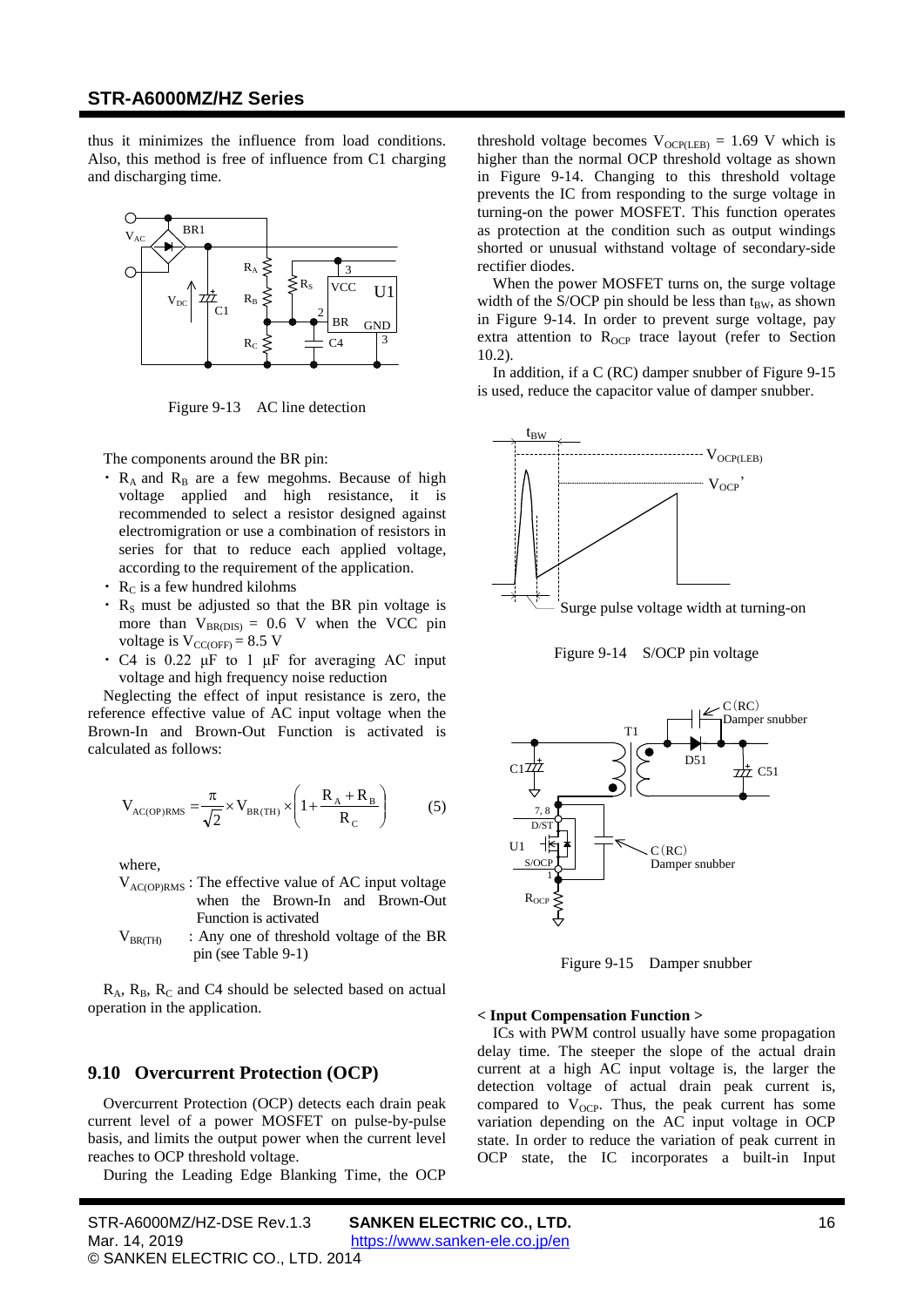thus it minimizes the influence from load conditions. Also, this method is free of influence from C1 charging and discharging time.



Figure 9-13 AC line detection

<span id="page-15-1"></span>The components around the BR pin:

- $\cdot$  R<sub>A</sub> and R<sub>B</sub> are a few megohms. Because of high voltage applied and high resistance, it is recommended to select a resistor designed against electromigration or use a combination of resistors in series for that to reduce each applied voltage, according to the requirement of the application.
- $\cdot$  R<sub>C</sub> is a few hundred kilohms
- $R<sub>S</sub>$  must be adjusted so that the BR pin voltage is more than  $V_{BR(DIS)} = 0.6$  $V_{BR(DIS)} = 0.6$  V when the VCC pin voltage is  $V_{\text{CC(OFF)}} = 8.5$  $V_{\text{CC(OFF)}} = 8.5$  V
- C4 is 0.22  $\mu$ F to 1  $\mu$ F for averaging AC input voltage and high frequency noise reduction

Neglecting the effect of input resistance is zero, the reference effective value of AC input voltage when the Brown-In and Brown-Out Function is activated is calculated as follows:

$$
V_{AC(OP)RMS} = \frac{\pi}{\sqrt{2}} \times V_{BR(TH)} \times \left(1 + \frac{R_A + R_B}{R_C}\right)
$$
 (5)

where,

- $V_{\text{AC}(\text{OP})RMS}$ : The effective value of AC input voltage when the Brown-In and Brown-Out Function is activated
- $V_{BR(TH)}$  : Any one of threshold voltage of the BR pin (see [Table 9-1\)](#page-14-0)

<span id="page-15-0"></span> $R_A$ ,  $R_B$ ,  $R_C$  and C4 should be selected based on actual operation in the application.

### **9.10 Overcurrent Protection (OCP)**

Overcurrent Protection (OCP) detects each drain peak current level of a power MOSFET on pulse-by-pulse basis, and limits the output power when the current level reaches to OCP threshold voltage.

During the Leading Edge Blanking Time, the OCP

threshold voltage becomes  $V_{OCP(LEB)} = 1.69$  $V_{OCP(LEB)} = 1.69$  V which is higher than the normal OCP threshold voltage as shown in Figure 9-14. Changing to this threshold voltage prevents the IC from responding to the surge voltage in turning-on the power MOSFET. This function operates as protection at the condition such as output windings shorted or unusual withstand voltage of secondary-side rectifier diodes.

When the power MOSFET turns on, the surge voltage width of the S/OCP pin should be less than  $t_{BW}$ , as shown in Figure 9-14. In order to prevent surge voltage, pay extra attention to  $R_{OCP}$  trace layout (refer to Section [10.2\)](#page-19-0).

In addition, if a C (RC) damper snubber o[f Figure](#page-15-2) 9-15 is used, reduce the capacitor value of damper snubber.



Figure 9-14 S/OCP pin voltage



Figure 9-15 Damper snubber

#### <span id="page-15-2"></span>**< Input Compensation Function >**

ICs with PWM control usually have some propagation delay time. The steeper the slope of the actual drain current at a high AC input voltage is, the larger the detection voltage of actual drain peak current is, compared to  $V_{OCP}$ . Thus, the peak current has some variation depending on the AC input voltage in OCP state. In order to reduce the variation of peak current in OCP state, the IC incorporates a built-in Input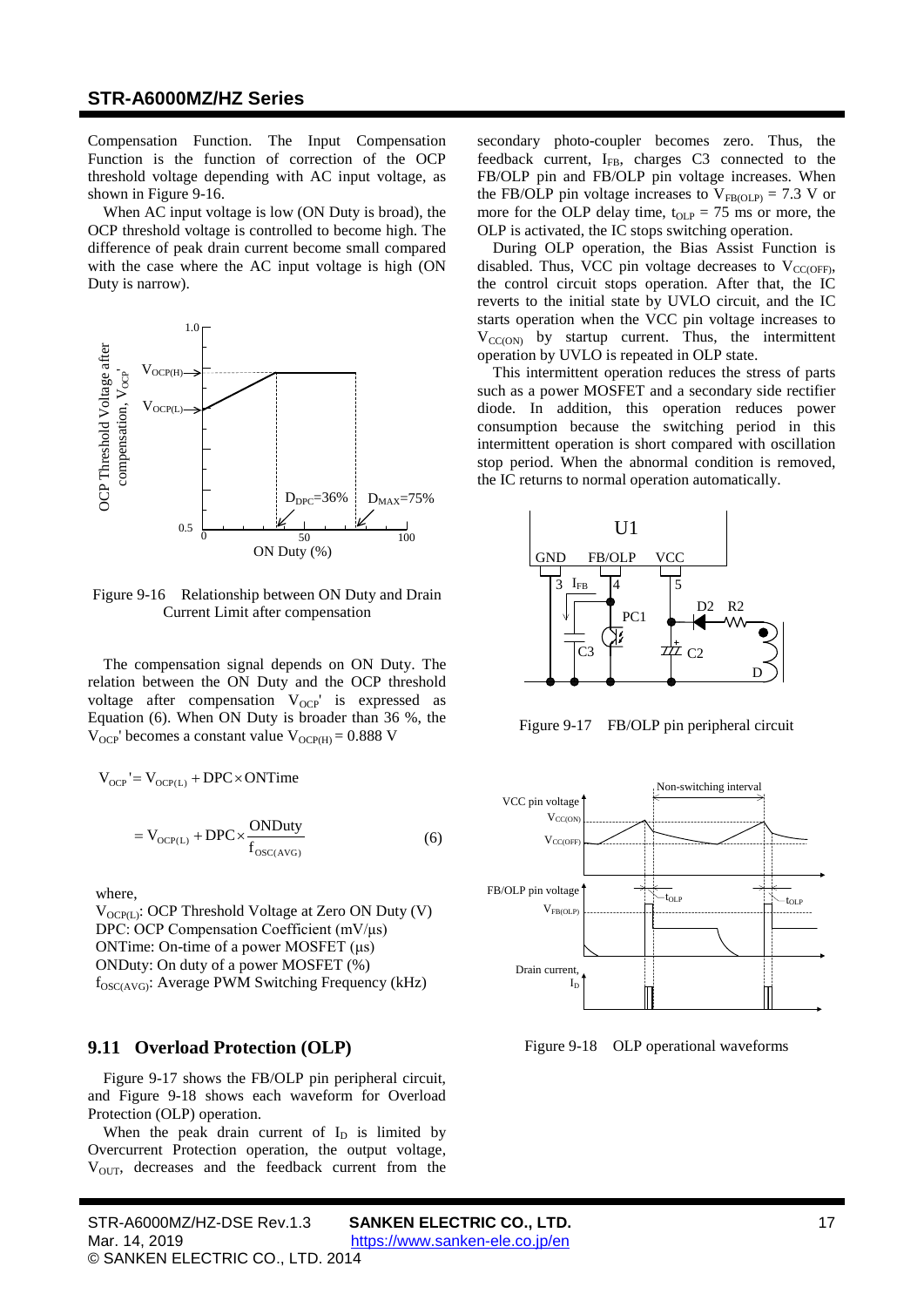Compensation Function. The Input Compensation Function is the function of correction of the OCP threshold voltage depending with AC input voltage, as shown in [Figure](#page-16-1) 9-16.

When AC input voltage is low (ON Duty is broad), the OCP threshold voltage is controlled to become high. The difference of peak drain current become small compared with the case where the AC input voltage is high (ON Duty is narrow).



<span id="page-16-1"></span>Figure 9-16 Relationship between ON Duty and Drain Current Limit after compensation

The compensation signal depends on ON Duty. The relation between the ON Duty and the OCP threshold voltage after compensation  $V_{OCP}$  is expressed as Equation [\(6\).](#page-16-2) When ON Duty is broader than [36](#page-3-14) %, the  $V_{OCP}$ ' becomes a constant value  $V_{OCP(H)} = 0.888$  $V_{OCP(H)} = 0.888$  V

$$
V_{OCP} = V_{OCP(L)} + DPC \times ONTime
$$
  
= 
$$
V_{OCP(L)} + DPC \times \frac{ONDuty}{f_{OSC(AVG)}}
$$
 (6)

where,

 $V_{OCP(I)}$ : OCP Threshold Voltage at Zero ON Duty (V) DPC: OCP Compensation Coefficient (mV/μs) ONTime: On-time of a power MOSFET (μs) ONDuty: On duty of a power MOSFET (%)  $f_{\rm OSC(AVG)}$ : Average PWM Switching Frequency (kHz)

### <span id="page-16-0"></span>**9.11 Overload Protection (OLP)**

[Figure](#page-16-3) 9-17 shows the FB/OLP pin peripheral circuit, and [Figure](#page-16-4) 9-18 shows each waveform for Overload Protection (OLP) operation.

When the peak drain current of  $I_D$  is limited by Overcurrent Protection operation, the output voltage,  $V<sub>OUT</sub>$ , decreases and the feedback current from the secondary photo-coupler becomes zero. Thus, the feedback current, IFB, charges C3 connected to the FB/OLP pin and FB/OLP pin voltage increases. When the FB/OLP pin voltage increases to  $V_{FB(OLP)} = 7.3$  $V_{FB(OLP)} = 7.3$  V or more for the OLP delay time,  $t_{OLP} = 75$  $t_{OLP} = 75$  ms or more, the OLP is activated, the IC stops switching operation.

During OLP operation, the Bias Assist Function is disabled. Thus, VCC pin voltage decreases to  $V_{CC(OFF)}$ , the control circuit stops operation. After that, the IC reverts to the initial state by UVLO circuit, and the IC starts operation when the VCC pin voltage increases to  $V_{CC(ON)}$  by startup current. Thus, the intermittent operation by UVLO is repeated in OLP state.

This intermittent operation reduces the stress of parts such as a power MOSFET and a secondary side rectifier diode. In addition, this operation reduces power consumption because the switching period in this intermittent operation is short compared with oscillation stop period. When the abnormal condition is removed, the IC returns to normal operation automatically.



<span id="page-16-3"></span>Figure 9-17 FB/OLP pin peripheral circuit

<span id="page-16-2"></span>

<span id="page-16-4"></span>Figure 9-18 OLP operational waveforms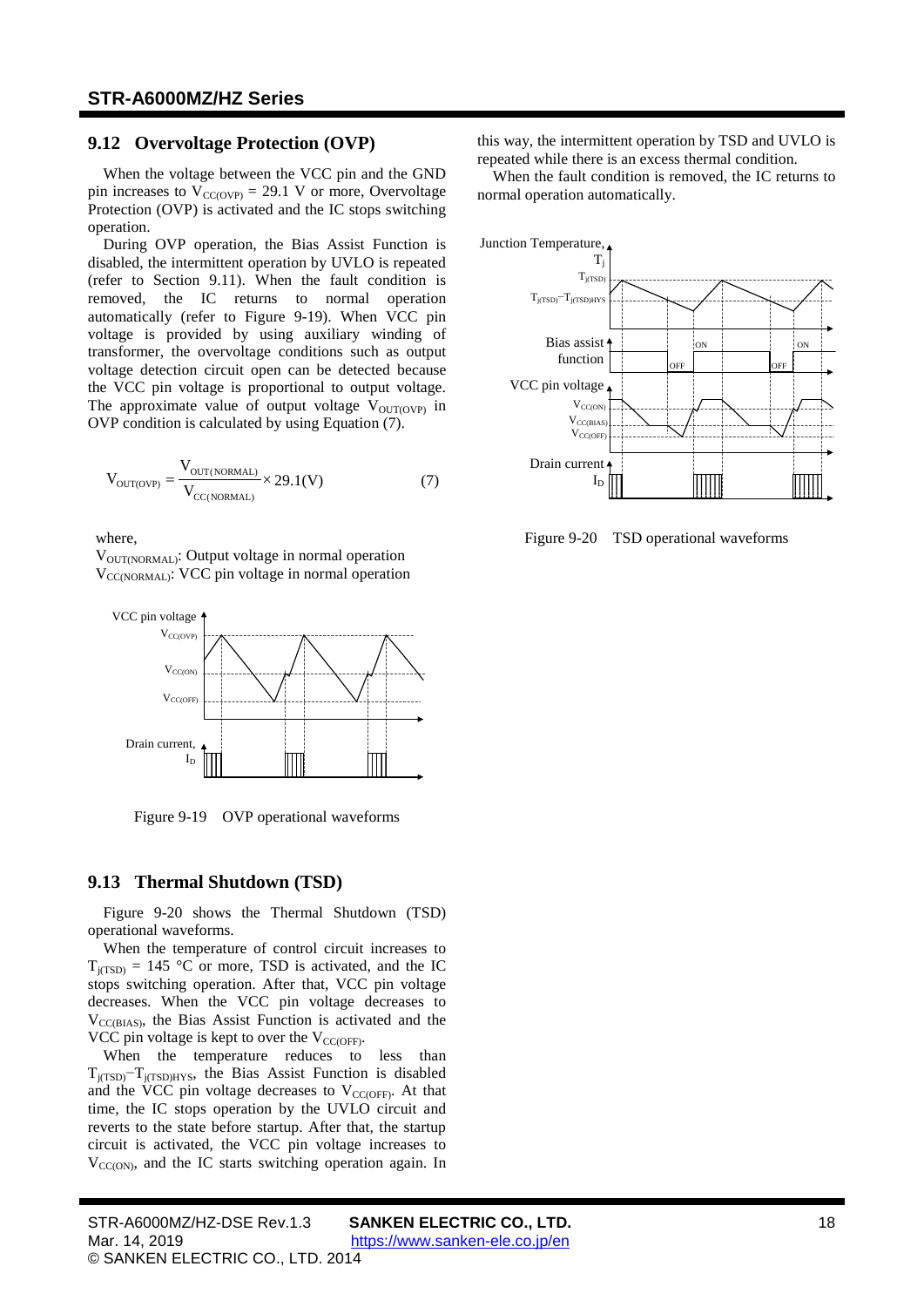#### <span id="page-17-0"></span>**9.12 Overvoltage Protection (OVP)**

When the voltage between the VCC pin and the GND pin increases to  $V_{CC(OVP)} = 29.1$  $V_{CC(OVP)} = 29.1$  V or more, Overvoltage Protection (OVP) is activated and the IC stops switching operation.

During OVP operation, the Bias Assist Function is disabled, the intermittent operation by UVLO is repeated (refer to Section [9.11\)](#page-16-0). When the fault condition is removed, the IC returns to normal operation automatically (refer to [Figure](#page-17-2) 9-19). When VCC pin voltage is provided by using auxiliary winding of transformer, the overvoltage conditions such as output voltage detection circuit open can be detected because the VCC pin voltage is proportional to output voltage. The approximate value of output voltage  $V_{\text{OUT(OVP)}}$  in OVP condition is calculated by using Equation [\(7\).](#page-17-3)

$$
V_{\text{OUT(OVP)}} = \frac{V_{\text{OUT}(NORMAL)}}{V_{\text{CC}(NORMAL)}} \times 29.1(V)
$$
 (7)

where,

 $V_{\text{OUT/NORMAL}}$ : Output voltage in normal operation  $V_{\text{CC/NORMAL}}$ : VCC pin voltage in normal operation



<span id="page-17-2"></span>Figure 9-19 OVP operational waveforms

### <span id="page-17-1"></span>**9.13 Thermal Shutdown (TSD)**

[Figure](#page-17-4) 9-20 shows the Thermal Shutdown (TSD) operational waveforms.

When the temperature of control circuit increases to  $T_{i(TSD)} = 145$  $T_{i(TSD)} = 145$  °C or more, TSD is activated, and the IC stops switching operation. After that, VCC pin voltage decreases. When the VCC pin voltage decreases to  $V_{CC(BIAS)}$ , the Bias Assist Function is activated and the VCC pin voltage is kept to over the  $V_{CC(OFF)}$ .

When the temperature reduces to less than T<sub>j(TSD)</sub> $-T$ <sub>j(TSD)HYS</sub>, the Bias Assist Function is disabled and the VCC pin voltage decreases to  $V_{CC(OFF)}$ . At that time, the IC stops operation by the UVLO circuit and reverts to the state before startup. After that, the startup circuit is activated, the VCC pin voltage increases to  $V_{CC(ON)}$ , and the IC starts switching operation again. In this way, the intermittent operation by TSD and UVLO is repeated while there is an excess thermal condition.

When the fault condition is removed, the IC returns to normal operation automatically.



<span id="page-17-4"></span><span id="page-17-3"></span>Figure 9-20 TSD operational waveforms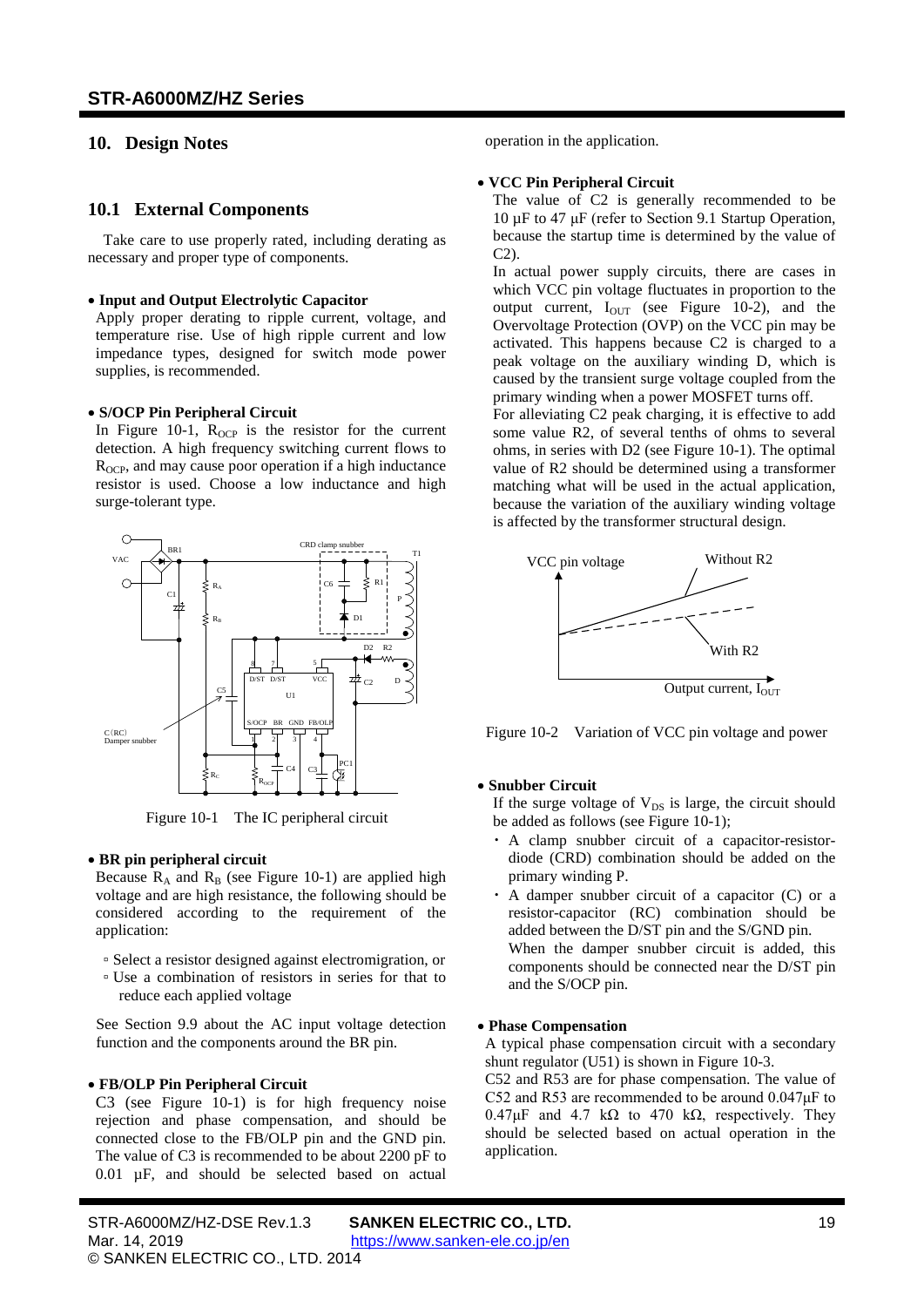## <span id="page-18-1"></span><span id="page-18-0"></span>**10. Design Notes**

### **10.1 External Components**

Take care to use properly rated, including derating as necessary and proper type of components.

#### • **Input and Output Electrolytic Capacitor**

Apply proper derating to ripple current, voltage, and temperature rise. Use of high ripple current and low impedance types, designed for switch mode power supplies, is recommended.

#### • **S/OCP Pin Peripheral Circuit**

In [Figure](#page-18-2) 10-1,  $R_{OCP}$  is the resistor for the current detection. A high frequency switching current flows to  $R<sub>OCP</sub>$ , and may cause poor operation if a high inductance resistor is used. Choose a low inductance and high surge-tolerant type.



Figure 10-1 The IC peripheral circuit

#### <span id="page-18-2"></span>• **BR pin peripheral circuit**

Because  $R_A$  and  $R_B$  (see [Figure](#page-18-2) 10-1) are applied high voltage and are high resistance, the following should be considered according to the requirement of the application:

- Select a resistor designed against electromigration, or
- Use a combination of resistors in series for that to reduce each applied voltage

See Section [9.9](#page-13-3) about the AC input voltage detection function and the components around the BR pin.

#### • **FB/OLP Pin Peripheral Circuit**

C3 (see [Figure](#page-18-2) 10-1) is for high frequency noise rejection and phase compensation, and should be connected close to the FB/OLP pin and the GND pin. The value of C3 is recommended to be about 2200 pF to 0.01 µF, and should be selected based on actual

operation in the application.

#### • **VCC Pin Peripheral Circuit**

The value of C2 is generally recommended to be 10 µF to 47 μF (refer to Section [9.1](#page-10-1) [Startup Operation,](#page-10-1) because the startup time is determined by the value of C2).

In actual power supply circuits, there are cases in which VCC pin voltage fluctuates in proportion to the output current,  $I_{OUT}$  (see [Figure](#page-18-3) 10-2), and the Overvoltage Protection (OVP) on the VCC pin may be activated. This happens because C2 is charged to a peak voltage on the auxiliary winding D, which is caused by the transient surge voltage coupled from the primary winding when a power MOSFET turns off.

For alleviating C2 peak charging, it is effective to add some value R2, of several tenths of ohms to several ohms, in series with D2 (see [Figure](#page-18-2) 10-1). The optimal value of R2 should be determined using a transformer matching what will be used in the actual application, because the variation of the auxiliary winding voltage is affected by the transformer structural design.



<span id="page-18-3"></span>Figure 10-2 Variation of VCC pin voltage and power

### • **Snubber Circuit**

If the surge voltage of  $V_{DS}$  is large, the circuit should be added as follows (see [Figure](#page-18-2) 10-1);

- ・ A clamp snubber circuit of a capacitor-resistordiode (CRD) combination should be added on the primary winding P.
- ・ A damper snubber circuit of a capacitor (C) or a resistor-capacitor (RC) combination should be added between the D/ST pin and the S/GND pin. When the damper snubber circuit is added, this components should be connected near the D/ST pin and the S/OCP pin.

#### • **Phase Compensation**

A typical phase compensation circuit with a secondary shunt regulator (U51) is shown in [Figure](#page-19-1) 10-3.

C52 and R53 are for phase compensation. The value of C52 and R53 are recommended to be around 0.047μF to  $0.47\mu$ F and  $4.7\ \text{k}\Omega$  to  $470\ \text{k}\Omega$ , respectively. They should be selected based on actual operation in the application.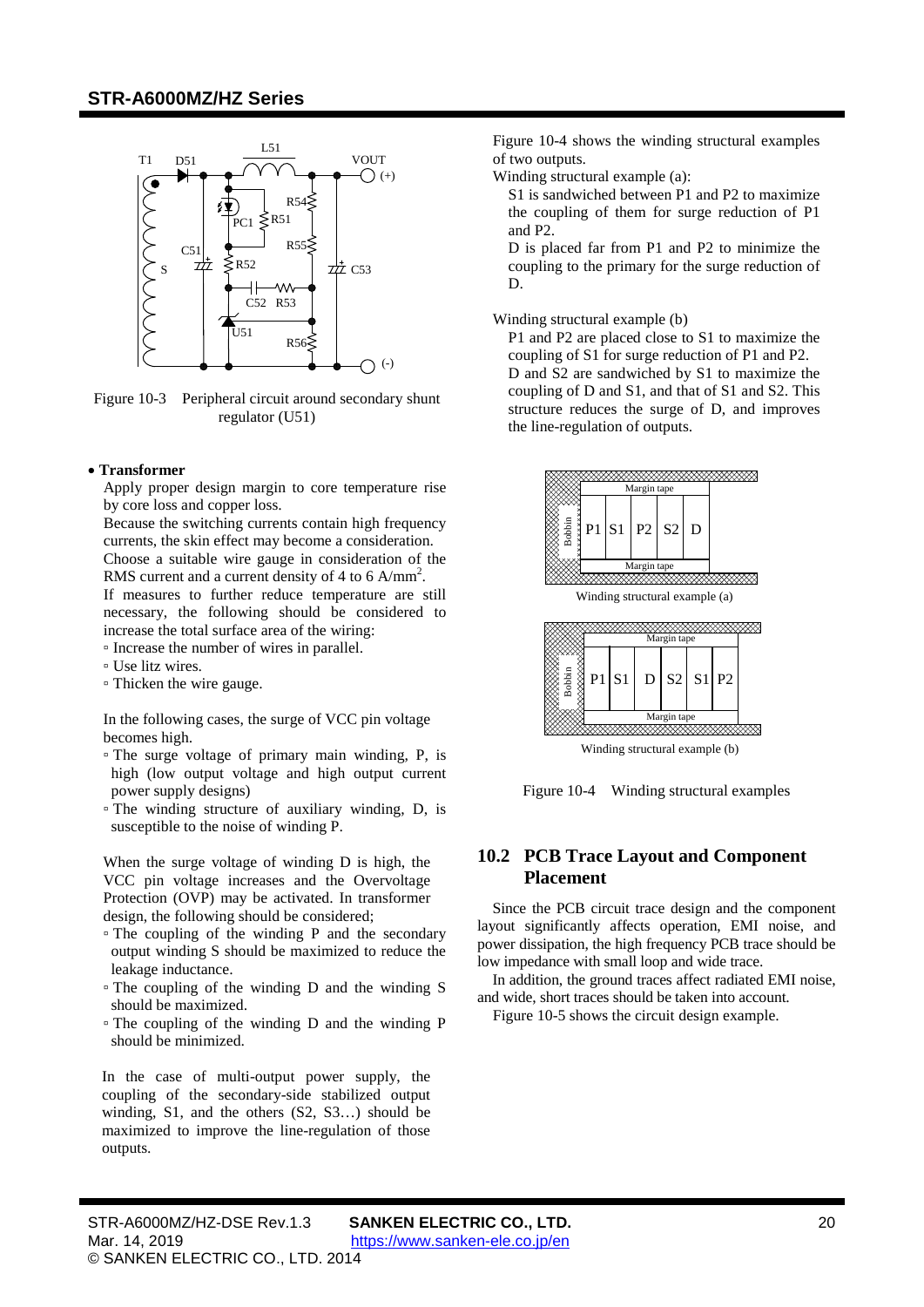

<span id="page-19-1"></span>Figure 10-3 Peripheral circuit around secondary shunt regulator (U51)

#### • **Transformer**

Apply proper design margin to core temperature rise by core loss and copper loss.

Because the switching currents contain high frequency currents, the skin effect may become a consideration. Choose a suitable wire gauge in consideration of the RMS current and a current density of 4 to 6  $A/mm^2$ .

If measures to further reduce temperature are still necessary, the following should be considered to increase the total surface area of the wiring:

▫ Increase the number of wires in parallel.

- Use litz wires.
- Thicken the wire gauge.

In the following cases, the surge of VCC pin voltage becomes high.

- The surge voltage of primary main winding, P, is high (low output voltage and high output current power supply designs)
- The winding structure of auxiliary winding, D, is susceptible to the noise of winding P.

When the surge voltage of winding D is high, the VCC pin voltage increases and the Overvoltage Protection (OVP) may be activated. In transformer design, the following should be considered;

- The coupling of the winding P and the secondary output winding S should be maximized to reduce the leakage inductance.
- The coupling of the winding D and the winding S should be maximized.
- The coupling of the winding D and the winding P should be minimized.

In the case of multi-output power supply, the coupling of the secondary-side stabilized output winding, S1, and the others (S2, S3…) should be maximized to improve the line-regulation of those outputs.

[Figure 10-4](#page-19-2) shows the winding structural examples of two outputs.

Winding structural example (a):

S1 is sandwiched between P1 and P2 to maximize the coupling of them for surge reduction of P1 and P2.

D is placed far from P1 and P2 to minimize the coupling to the primary for the surge reduction of D.

Winding structural example (b)

P1 and P2 are placed close to S1 to maximize the coupling of S1 for surge reduction of P1 and P2. D and S2 are sandwiched by S1 to maximize the coupling of D and S1, and that of S1 and S2. This structure reduces the surge of D, and improves the line-regulation of outputs.



Winding structural example (a)



Winding structural example (b)

<span id="page-19-2"></span>Figure 10-4 Winding structural examples

### <span id="page-19-0"></span>**10.2 PCB Trace Layout and Component Placement**

Since the PCB circuit trace design and the component layout significantly affects operation, EMI noise, and power dissipation, the high frequency PCB trace should be low impedance with small loop and wide trace.

In addition, the ground traces affect radiated EMI noise, and wide, short traces should be taken into account.

[Figure](#page-21-0) 10-5 shows the circuit design example.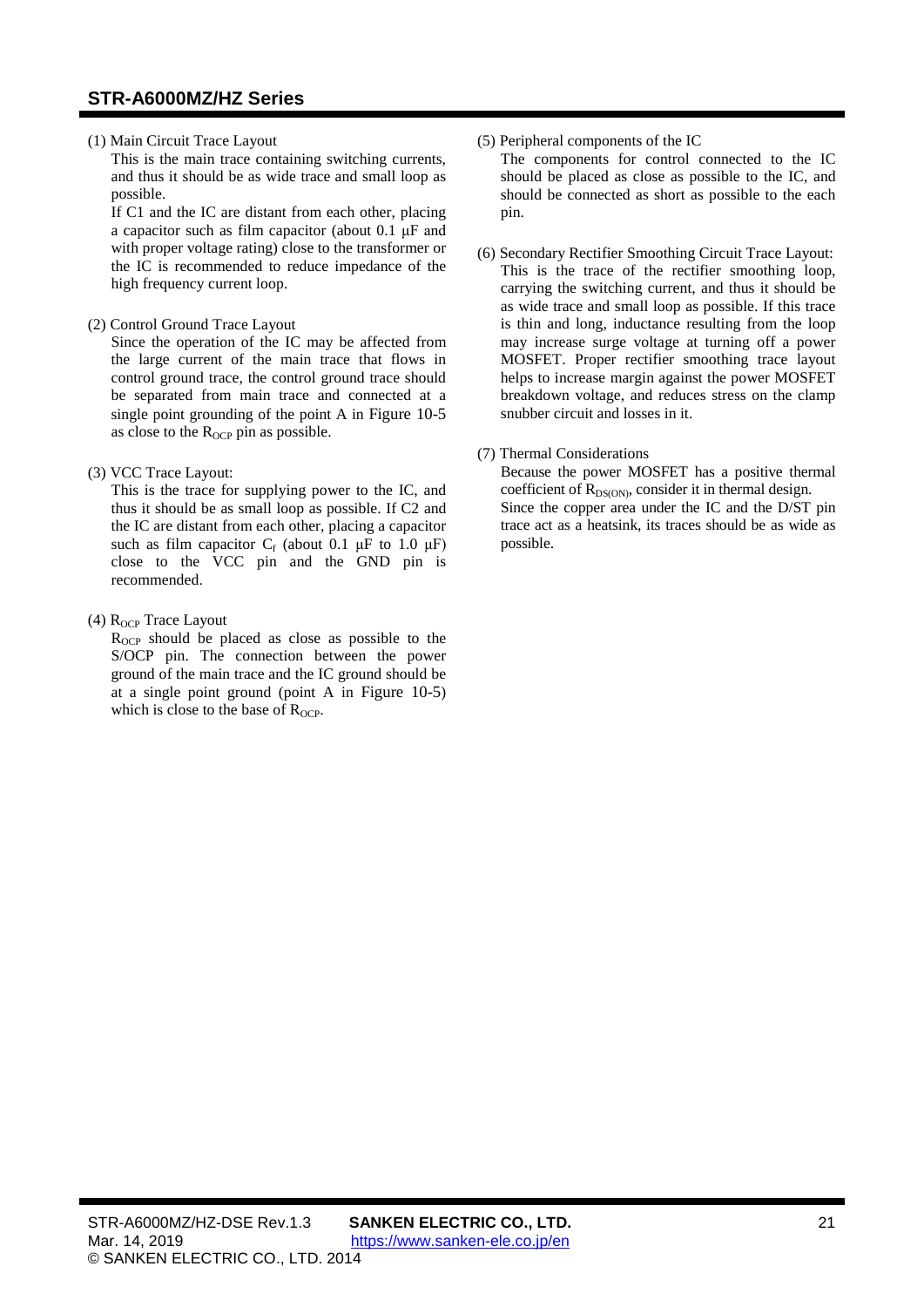#### (1) Main Circuit Trace Layout

This is the main trace containing switching currents, and thus it should be as wide trace and small loop as possible.

If C1 and the IC are distant from each other, placing a capacitor such as film capacitor (about 0.1 μF and with proper voltage rating) close to the transformer or the IC is recommended to reduce impedance of the high frequency current loop.

(2) Control Ground Trace Layout

Since the operation of the IC may be affected from the large current of the main trace that flows in control ground trace, the control ground trace should be separated from main trace and connected at a single point grounding of the point A in [Figure](#page-21-0) 10-5 as close to the R<sub>OCP</sub> pin as possible.

(3) VCC Trace Layout:

This is the trace for supplying power to the IC, and thus it should be as small loop as possible. If C2 and the IC are distant from each other, placing a capacitor such as film capacitor  $C_f$  (about 0.1  $\mu$ F to 1.0  $\mu$ F) close to the VCC pin and the GND pin is recommended.

(4)  $R_{OCP}$  Trace Layout

R<sub>OCP</sub> should be placed as close as possible to the S/OCP pin. The connection between the power ground of the main trace and the IC ground should be at a single point ground (point A in [Figure](#page-21-0) 10-5) which is close to the base of  $R_{OCP}$ .

### (5) Peripheral components of the IC

The components for control connected to the IC should be placed as close as possible to the IC, and should be connected as short as possible to the each pin.

(6) Secondary Rectifier Smoothing Circuit Trace Layout: This is the trace of the rectifier smoothing loop, carrying the switching current, and thus it should be as wide trace and small loop as possible. If this trace is thin and long, inductance resulting from the loop may increase surge voltage at turning off a power MOSFET. Proper rectifier smoothing trace layout helps to increase margin against the power MOSFET breakdown voltage, and reduces stress on the clamp snubber circuit and losses in it.

### (7) Thermal Considerations

Because the power MOSFET has a positive thermal coefficient of  $R_{DS(ON)}$ , consider it in thermal design. Since the copper area under the IC and the D/ST pin trace act as a heatsink, its traces should be as wide as possible.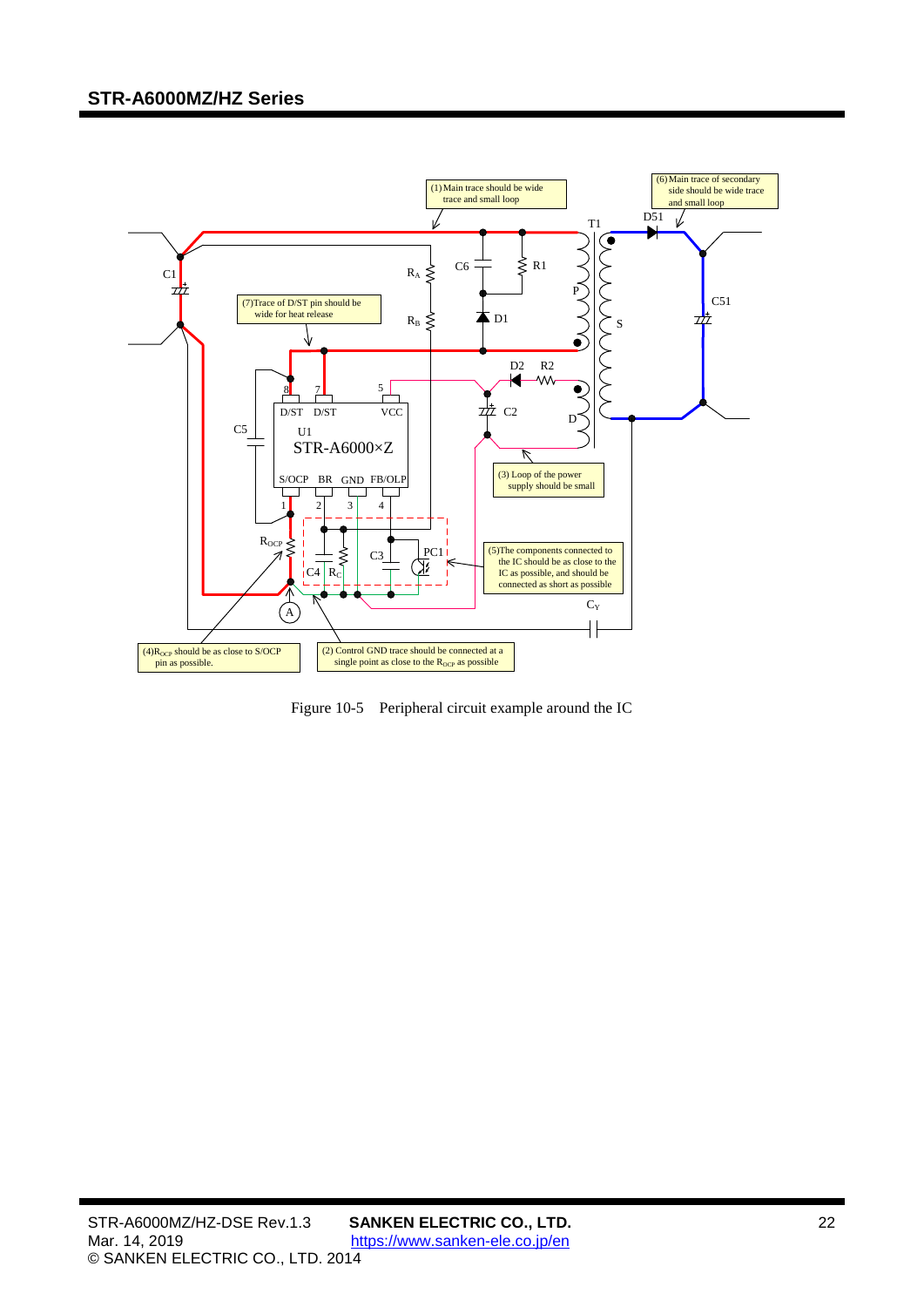

<span id="page-21-0"></span>Figure 10-5 Peripheral circuit example around the IC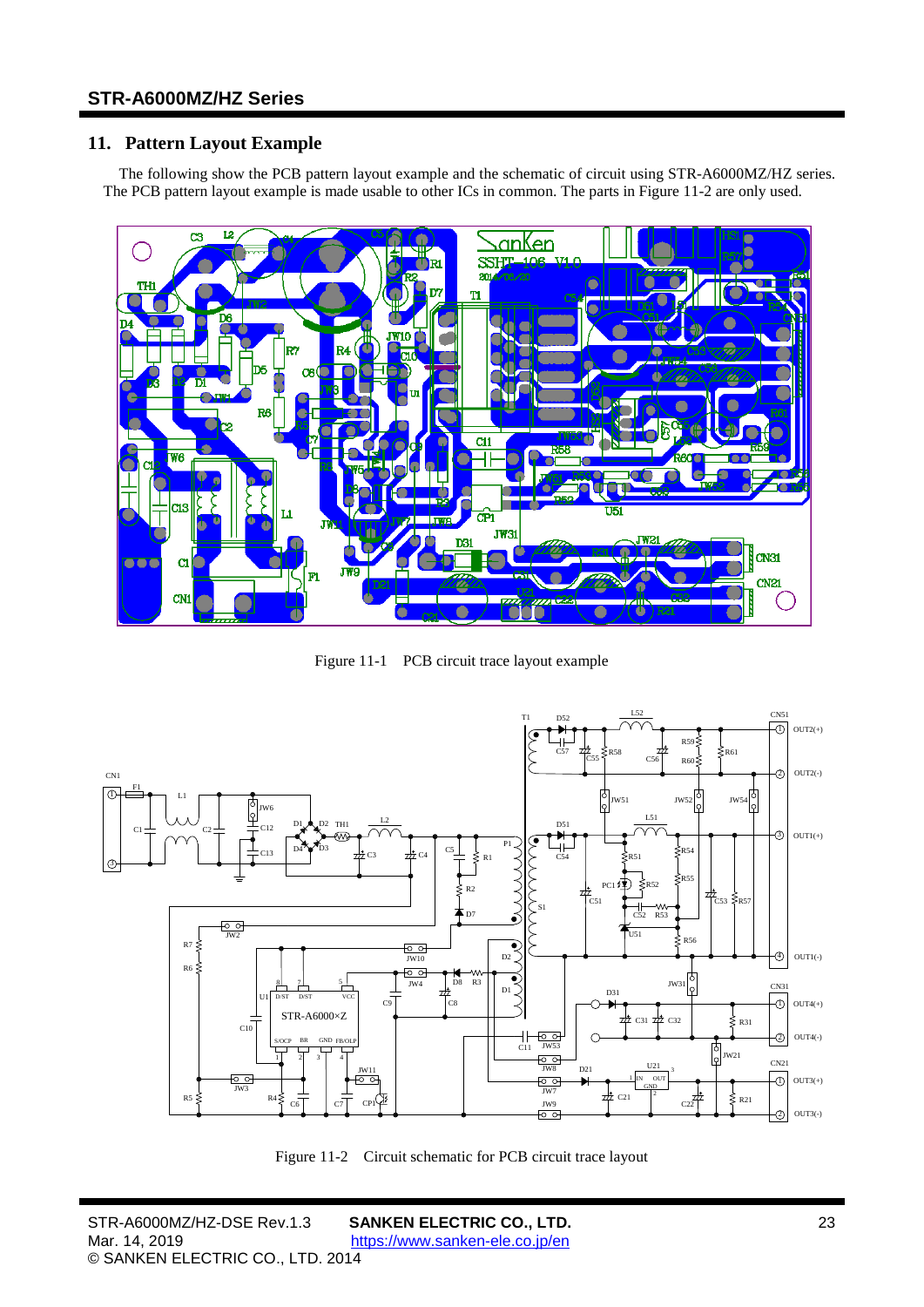## <span id="page-22-0"></span>**11. Pattern Layout Example**

The following show the PCB pattern layout example and the schematic of circuit using [STR-A6000MZ/HZ](#page-0-0) series. The PCB pattern layout example is made usable to other ICs in common. The parts in [Figure 11-2](#page-22-1) are only used.



Figure 11-1 PCB circuit trace layout example



<span id="page-22-1"></span>Figure 11-2 Circuit schematic for PCB circuit trace layout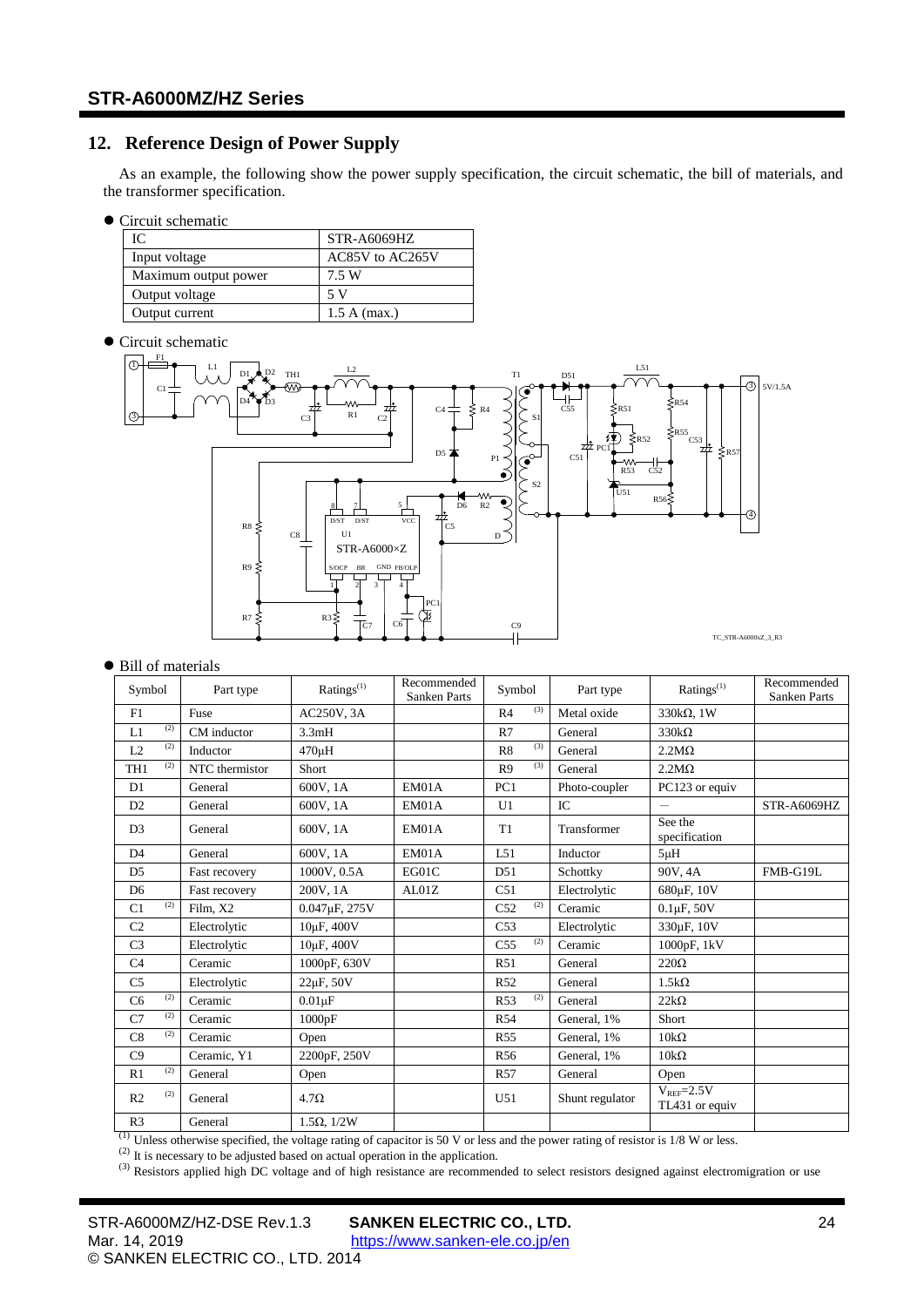## <span id="page-23-0"></span>**12. Reference Design of Power Supply**

As an example, the following show the power supply specification, the circuit schematic, the bill of materials, and the transformer specification.

 $\bullet$  Circuit schematic

| IC.                  | STR-A6069HZ     |
|----------------------|-----------------|
| Input voltage        | AC85V to AC265V |
| Maximum output power | 7.5 W           |
| Output voltage       | 5 V             |
| Output current       | 1.5 A (max.)    |

 $\bullet$  Circuit schematic



#### ● Bill of materials

| Symbol                | Part type      | Ratings $^{(1)}$                                                                                                                       | Recommended<br><b>Sanken Parts</b> | Symbol                 | Part type       | Ratings $^{(1)}$                 | Recommended<br><b>Sanken Parts</b> |
|-----------------------|----------------|----------------------------------------------------------------------------------------------------------------------------------------|------------------------------------|------------------------|-----------------|----------------------------------|------------------------------------|
| F1                    | Fuse           | AC250V, 3A                                                                                                                             |                                    | (3)<br>R <sub>4</sub>  | Metal oxide     | 330kΩ, 1W                        |                                    |
| (2)<br>L1             | CM inductor    | 3.3mH                                                                                                                                  |                                    | R7                     | General         | $330k\Omega$                     |                                    |
| (2)<br>L2             | Inductor       | 470uH                                                                                                                                  |                                    | (3)<br>R <sub>8</sub>  | General         | $2.2M\Omega$                     |                                    |
| (2)<br>TH1            | NTC thermistor | Short                                                                                                                                  |                                    | (3)<br>R <sub>9</sub>  | General         | $2.2M\Omega$                     |                                    |
| D <sub>1</sub>        | General        | 600V, 1A                                                                                                                               | EM01A                              | PC1                    | Photo-coupler   | PC123 or equiv                   |                                    |
| D2                    | General        | 600V, 1A                                                                                                                               | EM01A                              | U1                     | IC              | $\overline{\phantom{0}}$         | STR-A6069HZ                        |
| D <sub>3</sub>        | General        | 600V, 1A                                                                                                                               | EM01A                              | T <sub>1</sub>         | Transformer     | See the<br>specification         |                                    |
| D <sub>4</sub>        | General        | 600V, 1A                                                                                                                               | EM01A                              | L51                    | Inductor        | $5\mu$ H                         |                                    |
| D <sub>5</sub>        | Fast recovery  | 1000V, 0.5A                                                                                                                            | EG01C                              | D51                    | Schottky        | 90V, 4A                          | FMB-G19L                           |
| D <sub>6</sub>        | Fast recovery  | 200V, 1A                                                                                                                               | AL01Z                              | C51                    | Electrolytic    | 680 <sub>uF</sub> , 10V          |                                    |
| (2)<br>C1             | Film, X2       | 0.047 <sub>uF</sub> , 275V                                                                                                             |                                    | (2)<br>C52             | Ceramic         | $0.1 \mu F$ , $50V$              |                                    |
| C <sub>2</sub>        | Electrolytic   | $10\mu$ F, $400V$                                                                                                                      |                                    | C53                    | Electrolytic    | 330µF, 10V                       |                                    |
| C <sub>3</sub>        | Electrolytic   | 10 <sub>u</sub> F, 400V                                                                                                                |                                    | (2)<br>C <sub>55</sub> | Ceramic         | 1000pF, 1kV                      |                                    |
| C4                    | Ceramic        | 1000pF, 630V                                                                                                                           |                                    | R51                    | General         | $220\Omega$                      |                                    |
| C <sub>5</sub>        | Electrolytic   | 22µF, 50V                                                                                                                              |                                    | R <sub>52</sub>        | General         | $1.5k\Omega$                     |                                    |
| (2)<br>C <sub>6</sub> | Ceramic        | $0.01 \mu F$                                                                                                                           |                                    | (2)<br>R53             | General         | $22k\Omega$                      |                                    |
| (2)<br>C7             | Ceramic        | 1000pF                                                                                                                                 |                                    | R <sub>54</sub>        | General, 1%     | Short                            |                                    |
| (2)<br>C8             | Ceramic        | Open                                                                                                                                   |                                    | <b>R55</b>             | General, 1%     | $10k\Omega$                      |                                    |
| C9                    | Ceramic, Y1    | 2200pF, 250V                                                                                                                           |                                    | R <sub>56</sub>        | General, 1%     | $10k\Omega$                      |                                    |
| (2)<br>R1             | General        | Open                                                                                                                                   |                                    | R <sub>57</sub>        | General         | Open                             |                                    |
| (2)<br>R <sub>2</sub> | General        | 4.7 <omega< td=""><td></td><td>U51</td><td>Shunt regulator</td><td><math>V_{REF}=2.5V</math><br/>TL431 or equiv</td><td></td></omega<> |                                    | U51                    | Shunt regulator | $V_{REF}=2.5V$<br>TL431 or equiv |                                    |
| R <sub>3</sub>        | General        | $1.5\Omega$ , $1/2W$                                                                                                                   |                                    |                        |                 |                                  |                                    |

<sup>(1)</sup> Unless otherwise specified, the voltage rating of capacitor is 50 V or less and the power rating of resistor is 1/8 W or less.

 $^{(2)}$  It is necessary to be adjusted based on actual operation in the application.

 $^{(3)}$  Resistors applied high DC voltage and of high resistance are recommended to select resistors designed against electromigration or use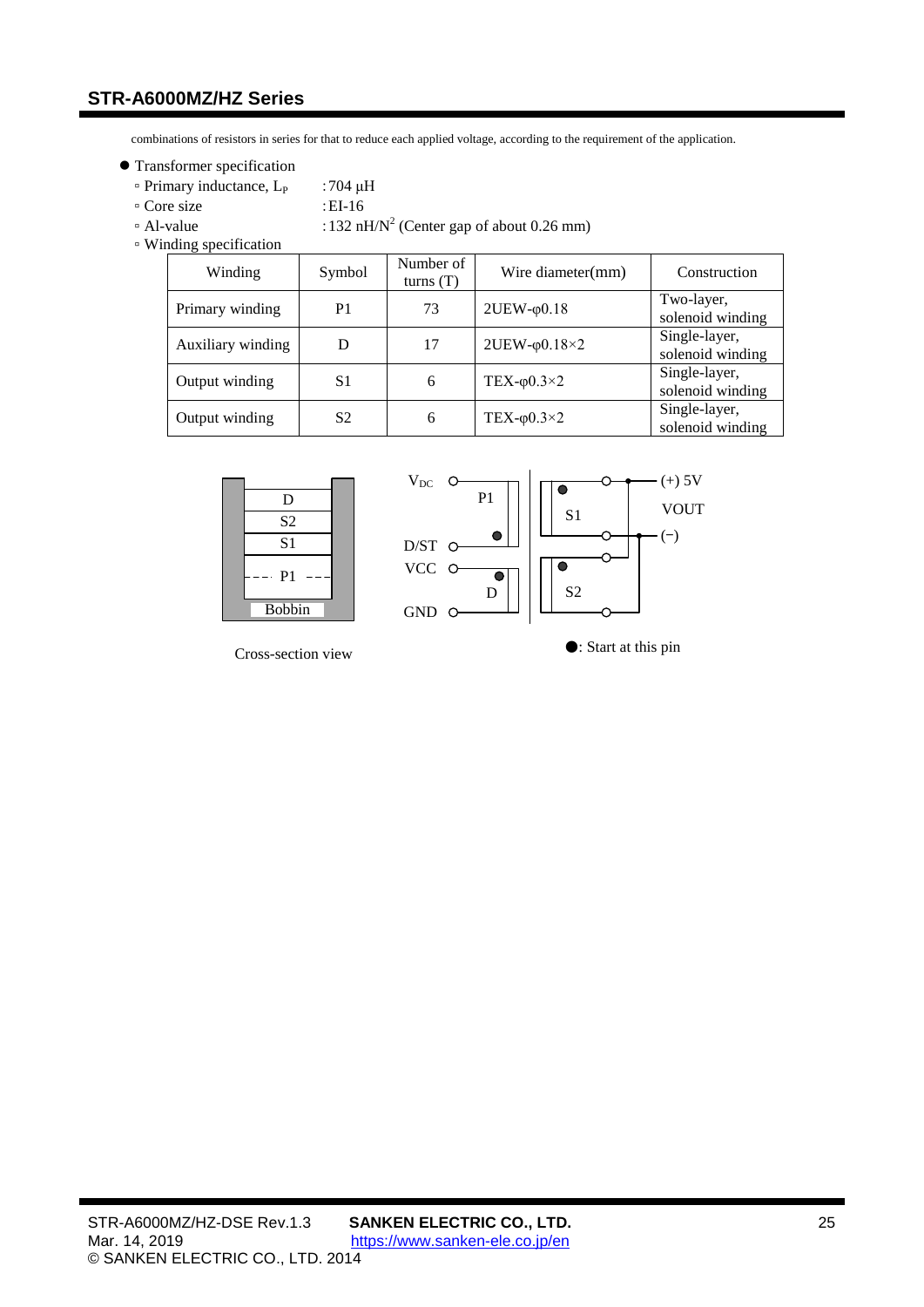combinations of resistors in series for that to reduce each applied voltage, according to the requirement of the application.

- **Transformer specification** 
	- $\degree$  Primary inductance, L<sub>P</sub> :704 μH
	- Core size :EI-16
	-
	- $\cdot$  Al-value :132 nH/N<sup>2</sup> (Center gap of about 0.26 mm)
	- Winding specification

| Winding           | Symbol         | Number of<br>turns $(T)$ | Wire diameter(mm)         | Construction                      |
|-------------------|----------------|--------------------------|---------------------------|-----------------------------------|
| Primary winding   | P <sub>1</sub> | 73                       | $2UEW$ - $\phi$ 0.18      | Two-layer,<br>solenoid winding    |
| Auxiliary winding | D              | 17                       | $2UEW$ - $\varphi$ 0.18×2 | Single-layer,<br>solenoid winding |
| Output winding    | S1             | 6                        | TEX- $\varphi$ 0.3×2      | Single-layer,<br>solenoid winding |
| Output winding    | S <sub>2</sub> | 6                        | TEX- $\varphi$ 0.3×2      | Single-layer,<br>solenoid winding |





Cross-section view ●: Start at this pin